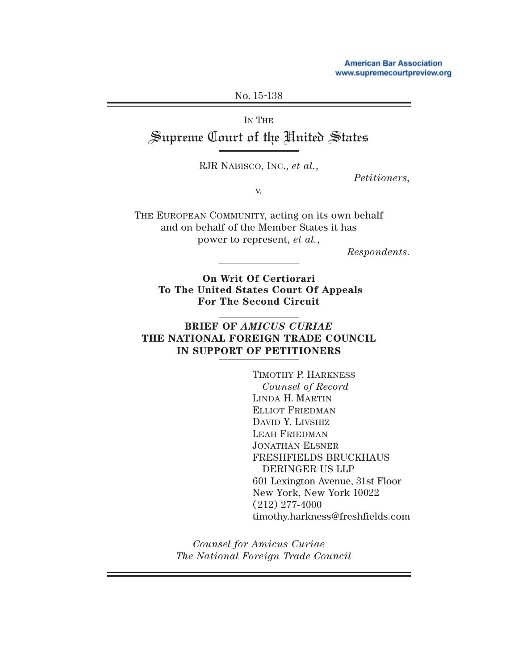**American Bar Association** www.supremecourtpreview.org

No. 15-138

IN THE

Supreme Court of the United States

RJR NABISCO, INC., *et al.*,

*Petitioners,*

v.

THE EUROPEAN COMMUNITY, acting on its own behalf and on behalf of the Member States it has power to represent, *et al.*,

*Respondents.*

**On Writ Of Certiorari To The United States Court Of Appeals For The Second Circuit**

## **BRIEF OF** *AMICUS CURIAE* **THE NATIONAL FOREIGN TRADE COUNCIL IN SUPPORT OF PETITIONERS**

TIMOTHY P. HARKNESS *Counsel of Record* LINDA H. MARTIN ELLIOT FRIEDMAN DAVID Y. LIVSHIZ LEAH FRIEDMAN JONATHAN ELSNER FRESHFIELDS BRUCKHAUS DERINGER US LLP 601 Lexington Avenue, 31st Floor New York, New York 10022 (212) 277-4000 timothy.harkness@freshfields.com

*Counsel for Amicus Curiae The National Foreign Trade Council*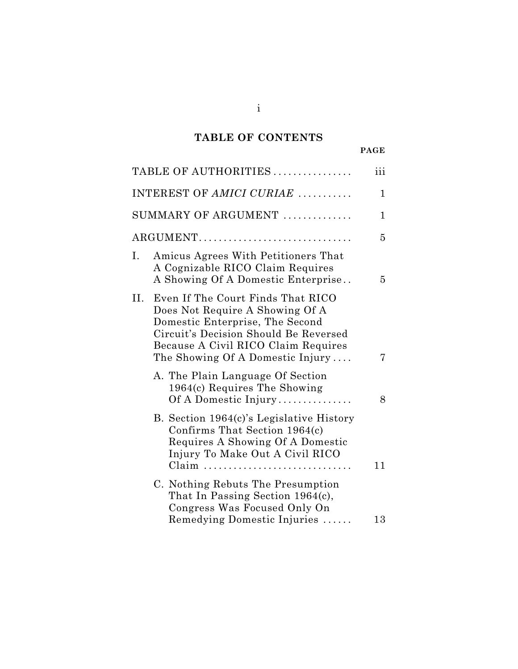# **TABLE OF CONTENTS**

|     | TABLE OF AUTHORITIES                                                                                                                                                                                                          | iii |
|-----|-------------------------------------------------------------------------------------------------------------------------------------------------------------------------------------------------------------------------------|-----|
|     | INTEREST OF AMICI CURIAE                                                                                                                                                                                                      | 1   |
|     | SUMMARY OF ARGUMENT                                                                                                                                                                                                           | 1   |
|     | $\text{ARGUMENT} \dots \dots \dots \dots \dots \dots \dots \dots \dots \dots \dots \dots$                                                                                                                                     | 5   |
| I.  | Amicus Agrees With Petitioners That<br>A Cognizable RICO Claim Requires<br>A Showing Of A Domestic Enterprise                                                                                                                 | 5   |
| II. | Even If The Court Finds That RICO<br>Does Not Require A Showing Of A<br>Domestic Enterprise, The Second<br>Circuit's Decision Should Be Reversed<br>Because A Civil RICO Claim Requires<br>The Showing Of A Domestic Injury   | 7   |
|     | A. The Plain Language Of Section<br>1964(c) Requires The Showing<br>Of A Domestic Injury                                                                                                                                      | 8   |
|     | B. Section 1964(c)'s Legislative History<br>Confirms That Section 1964(c)<br>Requires A Showing Of A Domestic<br>Injury To Make Out A Civil RICO<br>$Claim \dots \dots \dots \dots \dots \dots \dots \dots \dots \dots \dots$ | 11  |
|     | C. Nothing Rebuts The Presumption<br>That In Passing Section 1964(c),<br>Congress Was Focused Only On<br>Remedying Domestic Injuries                                                                                          | 13  |
|     |                                                                                                                                                                                                                               |     |

i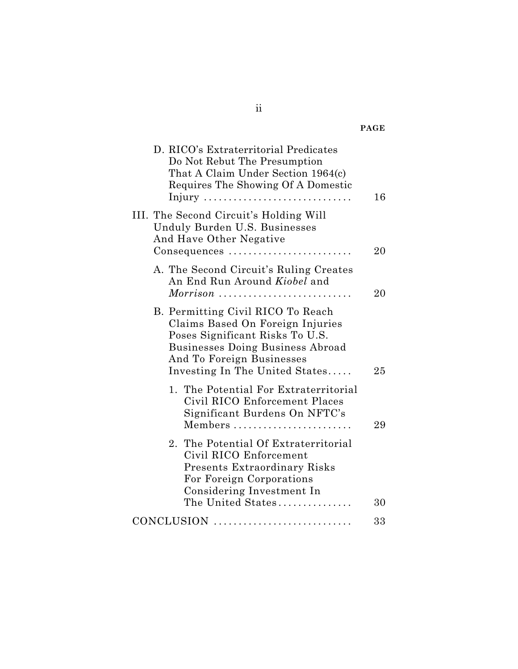| D. RICO's Extraterritorial Predicates<br>Do Not Rebut The Presumption<br>That A Claim Under Section 1964(c)<br>Requires The Showing Of A Domestic<br>Injury                                                 | 16 |
|-------------------------------------------------------------------------------------------------------------------------------------------------------------------------------------------------------------|----|
| III. The Second Circuit's Holding Will<br>Unduly Burden U.S. Businesses<br>And Have Other Negative<br>Consequences                                                                                          | 20 |
| A. The Second Circuit's Ruling Creates<br>An End Run Around Kiobel and                                                                                                                                      | 20 |
| B. Permitting Civil RICO To Reach<br>Claims Based On Foreign Injuries<br>Poses Significant Risks To U.S.<br>Businesses Doing Business Abroad<br>And To Foreign Businesses<br>Investing In The United States | 25 |
| 1. The Potential For Extraterritorial<br>Civil RICO Enforcement Places<br>Significant Burdens On NFTC's<br>Members                                                                                          | 29 |
| 2. The Potential Of Extraterritorial<br>Civil RICO Enforcement<br><b>Presents Extraordinary Risks</b><br>For Foreign Corporations<br>Considering Investment In<br>The United States                         | 30 |
| CONCLUSION                                                                                                                                                                                                  | 33 |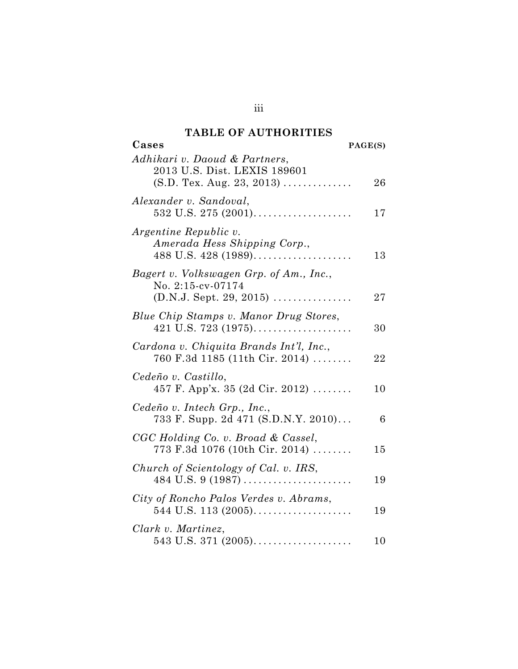## **TABLE OF AUTHORITIES**

| Cases                                                                                                                   | PAGE(S) |
|-------------------------------------------------------------------------------------------------------------------------|---------|
| Adhikari v. Daoud & Partners,<br>2013 U.S. Dist. LEXIS 189601<br>$(S.D. \text{ Tex. Aug. } 23, 2013) \dots \dots \dots$ | 26      |
| Alexander v. Sandoval,                                                                                                  | 17      |
| Argentine Republic v.<br>Amerada Hess Shipping Corp.,<br>$488$ U.S. $428$ (1989)                                        | 13      |
| Bagert v. Volkswagen Grp. of Am., Inc.,<br>No. 2:15-cv-07174<br>$(D.N.J. Sept. 29, 2015)$                               | $27\,$  |
| Blue Chip Stamps v. Manor Drug Stores,<br>421 U.S. 723 $(1975)$                                                         | 30      |
| Cardona v. Chiquita Brands Int'l, Inc.,<br>$760$ F.3d 1185 (11th Cir. 2014)                                             | 22      |
| Cedeño v. Castillo,<br>457 F. App'x. 35 (2d Cir. 2012)                                                                  | 10      |
| Cedeño v. Intech Grp., Inc.,<br>733 F. Supp. 2d 471 (S.D.N.Y. 2010)                                                     | 6       |
| CGC Holding Co. v. Broad & Cassel,<br>$773$ F.3d 1076 (10th Cir. 2014)                                                  | 15      |
| Church of Scientology of Cal. v. IRS,<br>$484$ U.S. 9 (1987)                                                            | 19      |
| City of Roncho Palos Verdes v. Abrams,<br>544 U.S. 113 $(2005)$                                                         | 19      |
| Clark v. Martinez,                                                                                                      | 10      |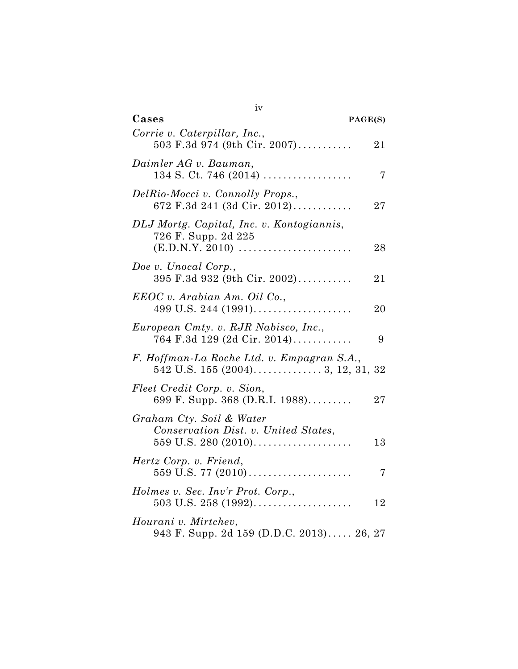| Cases                  |                                                                                             | PAGE(S) |
|------------------------|---------------------------------------------------------------------------------------------|---------|
|                        | Corrie v. Caterpillar, Inc.,<br>503 F.3d 974 (9th Cir. 2007)                                | 21      |
| Daimler AG v. Bauman,  | $134$ S. Ct. 746 (2014)                                                                     | 7       |
|                        | DelRio-Mocci v. Connolly Props.,<br>672 F.3d 241 (3d Cir. 2012)                             | 27      |
|                        | DLJ Mortg. Capital, Inc. v. Kontogiannis,<br>726 F. Supp. 2d 225                            |         |
|                        | $(E.D.N.Y. 2010)$                                                                           | 28      |
| Doe v. Unocal Corp.,   | 395 F.3d 932 (9th Cir. 2002)                                                                | 21      |
|                        | EEOC v. Arabian Am. Oil Co.,<br>499 U.S. 244 $(1991)$                                       | 20      |
|                        | European Cmty. v. RJR Nabisco, Inc.,<br>764 F.3d 129 (2d Cir. 2014)                         | 9       |
|                        | F. Hoffman-La Roche Ltd. v. Empagran S.A.,                                                  |         |
|                        | Fleet Credit Corp. v. Sion,<br>699 F. Supp. 368 (D.R.I. 1988)                               | 27      |
|                        | Graham Cty. Soil & Water<br>Conservation Dist. v. United States,<br>$559$ U.S. 280 $(2010)$ | 13      |
| Hertz Corp. v. Friend, | $559$ U.S. 77 (2010)                                                                        | 7       |
|                        | Holmes v. Sec. Inv'r Prot. Corp.,                                                           | $12\,$  |
| Hourani v. Mirtchev,   | 943 F. Supp. 2d 159 (D.D.C. 2013) 26, 27                                                    |         |

| u |  |
|---|--|
| ۱ |  |
|   |  |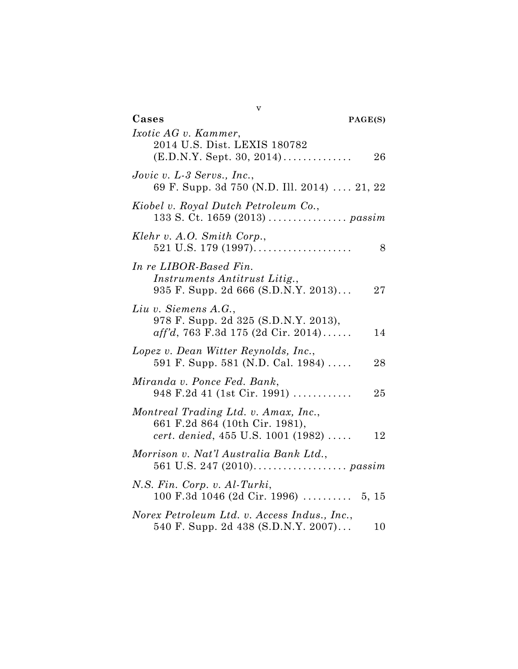| v                                                                                                                  |
|--------------------------------------------------------------------------------------------------------------------|
| Cases<br>PAGE(S)                                                                                                   |
| Ixotic AG v. Kammer,<br>2014 U.S. Dist. LEXIS 180782<br>$(E.D.N.Y. Sept. 30, 2014)$<br>26                          |
| Jovic v. $L-3$ Servs., Inc.,<br>69 F. Supp. 3d 750 (N.D. Ill. 2014)  21, 22                                        |
| Kiobel v. Royal Dutch Petroleum Co.,                                                                               |
| Klehr v. A.O. Smith Corp.,<br>$521$ U.S. 179 (1997)<br>8                                                           |
| In re LIBOR-Based Fin.<br>Instruments Antitrust Litig.,<br>935 F. Supp. 2d 666 (S.D.N.Y. 2013)<br>27               |
| Liu v. Siemens A.G.,<br>978 F. Supp. 2d 325 (S.D.N.Y. 2013),<br>$aff'd, 763$ F.3d 175 (2d Cir. 2014)<br>14         |
| Lopez v. Dean Witter Reynolds, Inc.,<br>591 F. Supp. 581 (N.D. Cal. 1984)<br>28                                    |
| Miranda v. Ponce Fed. Bank,<br>$948$ F.2d 41 (1st Cir. 1991)<br>25                                                 |
| Montreal Trading Ltd. v. Amax, Inc.,<br>661 F.2d 864 (10th Cir. 1981),<br>cert. denied, 455 U.S. 1001 (1982)<br>12 |
| Morrison v. Nat'l Australia Bank Ltd.,                                                                             |
| N.S. Fin. Corp. v. Al-Turki,<br>$100$ F.3d $1046$ (2d Cir. 1996)  5, 15                                            |
| Norex Petroleum Ltd. v. Access Indus., Inc.,<br>540 F. Supp. 2d 438 (S.D.N.Y. 2007)<br>10                          |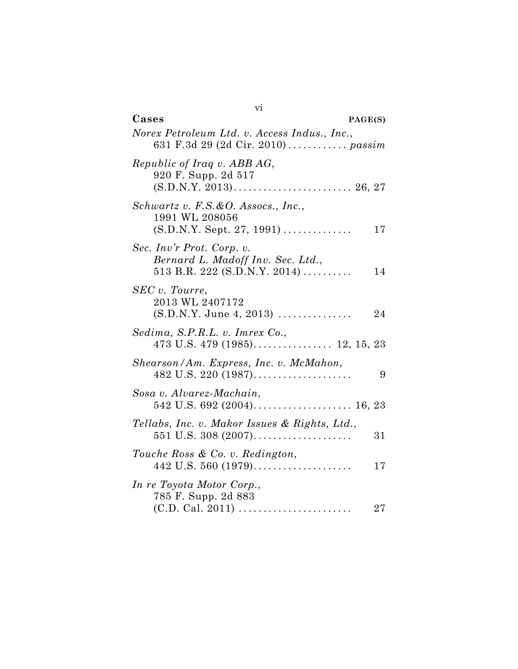| V <sub>1</sub>                                                                                 |    |
|------------------------------------------------------------------------------------------------|----|
| Cases<br>PAGE(S)                                                                               |    |
| Norex Petroleum Ltd. v. Access Indus., Inc.,                                                   |    |
| Republic of Iraq v. ABB AG,<br>920 F. Supp. 2d 517                                             |    |
| Schwartz v. F.S.&O. Assocs., Inc.,<br>1991 WL 208056<br>$(S.D.N.Y. Sept. 27, 1991)$            | 17 |
| Sec. Inv'r Prot. Corp. v.<br>Bernard L. Madoff Inv. Sec. Ltd.,<br>513 B.R. 222 (S.D.N.Y. 2014) | 14 |
| SEC v. Tourre,<br>2013 WL 2407172<br>$(S.D.N.Y. June 4, 2013)$                                 | 24 |
| Sedima, S.P.R.L. v. Imrex Co.,                                                                 |    |
| Shearson/Am. Express, Inc. v. McMahon,<br>$482$ U.S. 220 (1987)                                | 9  |
| Sosa v. Alvarez-Machain,                                                                       |    |
| Tellabs, Inc. v. Makor Issues & Rights, Ltd.,<br>$551$ U.S. $308$ (2007)                       | 31 |
| Touche Ross & Co. v. Redington,<br>442 U.S. 560 $(1979)$                                       | 17 |
| In re Toyota Motor Corp.,<br>785 F. Supp. 2d 883                                               | 27 |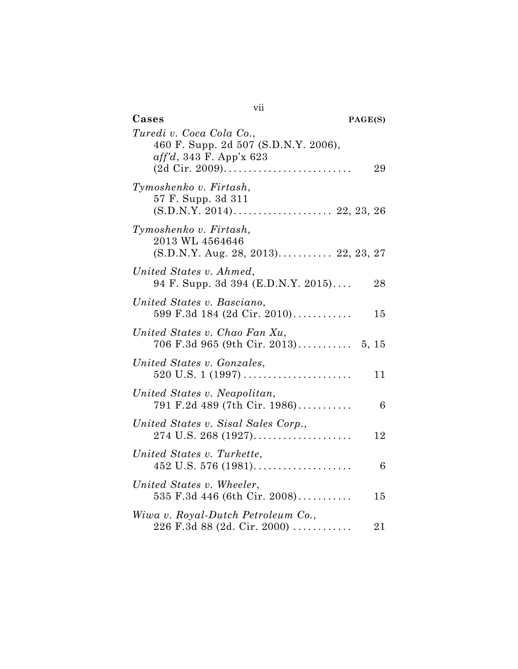| vii                                                                                                                  |
|----------------------------------------------------------------------------------------------------------------------|
| Cases<br>PAGE(S)                                                                                                     |
| Turedi v. Coca Cola Co.,<br>460 F. Supp. 2d 507 (S.D.N.Y. 2006),<br>$aff'd, 343$ F. App'x 623<br>29                  |
| Tymoshenko v. Firtash,<br>57 F. Supp. 3d 311                                                                         |
| Tymoshenko v. Firtash,<br>2013 WL 4564646<br>$(S.D.N.Y. Aug. 28, 2013)$ 22, 23, 27                                   |
| United States v. Ahmed,<br>94 F. Supp. 3d 394 (E.D.N.Y. 2015)<br>28                                                  |
| United States v. Basciano,<br>599 F.3d 184 (2d Cir. 2010)<br>15                                                      |
| United States v. Chao Fan Xu,                                                                                        |
| United States v. Gonzales,<br>11                                                                                     |
| United States v. Neapolitan,<br>791 F.2d 489 (7th Cir. 1986)<br>6                                                    |
| United States v. Sisal Sales Corp.,<br>12                                                                            |
| United States v. Turkette,<br>6                                                                                      |
| United States v. Wheeler,<br>535 F.3d 446 (6th Cir. 2008)<br>15                                                      |
| Wiwa v. Royal-Dutch Petroleum Co.,<br>$226 \text{ F}.3d \text{ 88} \text{ (2d. Cir. } 2000) \dots \dots \dots$<br>21 |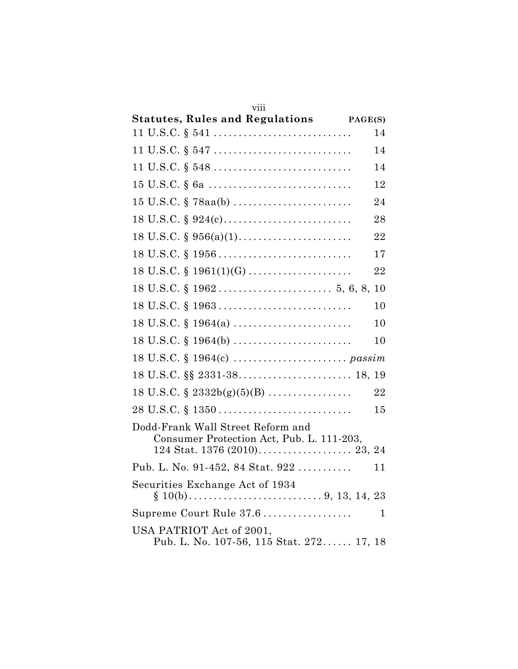| viii                                                                                       |    |  |
|--------------------------------------------------------------------------------------------|----|--|
| Statutes, Rules and Regulations PAGE(S)                                                    |    |  |
|                                                                                            | 14 |  |
|                                                                                            | 14 |  |
|                                                                                            | 14 |  |
|                                                                                            | 12 |  |
|                                                                                            | 24 |  |
|                                                                                            | 28 |  |
|                                                                                            | 22 |  |
| $18 \text{ U.S.C.} \$ $1956 \ldots \ldots \ldots \ldots \ldots \ldots \ldots \ldots$       | 17 |  |
| $18 \text{ U.S.C. } \S 1961(1)(G) \dots \dots \dots \dots \dots \dots \dots$               | 22 |  |
|                                                                                            | 10 |  |
| $18 \text{ U.S.C. }$ \$ $1963 \ldots \ldots \ldots \ldots \ldots \ldots \ldots \ldots$     | 10 |  |
|                                                                                            | 10 |  |
| $18 \text{ U.S.C.} \S 1964(b) \ldots \ldots \ldots \ldots \ldots \ldots \ldots$            | 10 |  |
|                                                                                            |    |  |
|                                                                                            |    |  |
| 18 U.S.C. $\S$ 2332b(g)(5)(B)                                                              | 22 |  |
| $28 \text{ U.S.C.} \S 1350 \ldots \ldots \ldots \ldots \ldots \ldots \ldots \ldots \ldots$ | 15 |  |
| Dodd-Frank Wall Street Reform and<br>Consumer Protection Act, Pub. L. 111-203,             |    |  |
| Pub. L. No. 91-452, 84 Stat. 922                                                           | 11 |  |
| Securities Exchange Act of 1934                                                            |    |  |
| Supreme Court Rule 37.6                                                                    | 1  |  |
| USA PATRIOT Act of 2001,<br>Pub. L. No. 107-56, 115 Stat. 272 17, 18                       |    |  |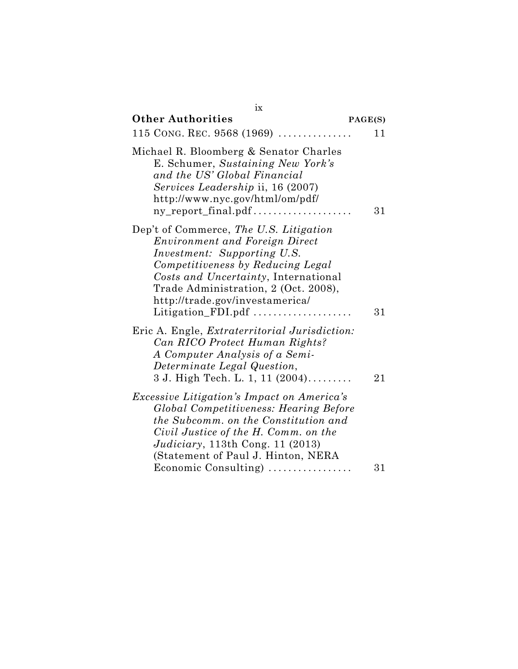| ix                                                                                                                                                                                                                                                                                                  |         |
|-----------------------------------------------------------------------------------------------------------------------------------------------------------------------------------------------------------------------------------------------------------------------------------------------------|---------|
| <b>Other Authorities</b>                                                                                                                                                                                                                                                                            | PAGE(S) |
| 115 CONG. REC. $9568(1969)$                                                                                                                                                                                                                                                                         | 11      |
| Michael R. Bloomberg & Senator Charles<br>E. Schumer, Sustaining New York's<br>and the US' Global Financial<br>Services Leadership ii, 16 (2007)<br>http://www.nyc.gov/html/om/pdf/<br>ny_report_final.pdf                                                                                          | 31      |
| Dep't of Commerce, The U.S. Litigation<br><b>Environment and Foreign Direct</b><br><i>Investment: Supporting U.S.</i><br>Competitiveness by Reducing Legal<br>Costs and Uncertainty, International<br>Trade Administration, 2 (Oct. 2008),<br>http://trade.gov/investamerica/<br>Litigation FDI.pdf | 31      |
| Eric A. Engle, <i>Extraterritorial Jurisdiction</i> :<br>Can RICO Protect Human Rights?<br>A Computer Analysis of a Semi-<br>Determinate Legal Question,<br>3 J. High Tech. L. 1, 11 (2004)                                                                                                         | 21      |
| <i>Excessive Litigation's Impact on America's</i><br>Global Competitiveness: Hearing Before<br>the Subcomm. on the Constitution and<br>Civil Justice of the H. Comm. on the<br><i>Judiciary</i> , 113th Cong. 11 (2013)<br>(Statement of Paul J. Hinton, NERA                                       |         |
| Economic Consulting)                                                                                                                                                                                                                                                                                | 31      |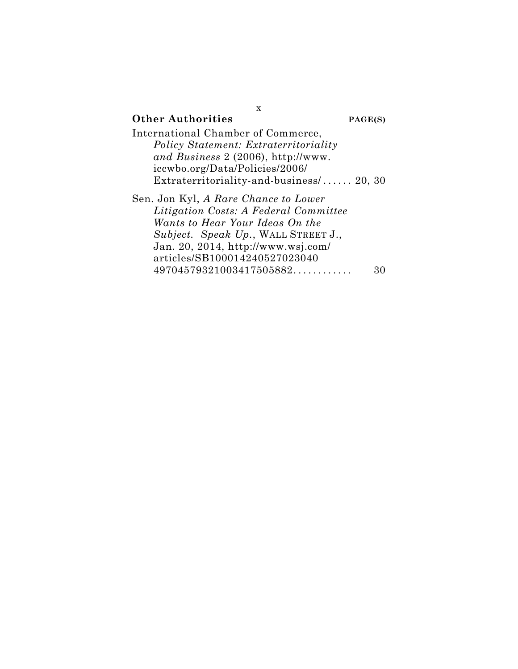| X                                            |         |
|----------------------------------------------|---------|
| <b>Other Authorities</b>                     | PAGE(S) |
| International Chamber of Commerce,           |         |
| <b>Policy Statement: Extraterritoriality</b> |         |
| and Business 2 (2006), http://www.           |         |
| iccwbo.org/Data/Policies/2006/               |         |
| Extraterritoriality-and-business $/$ 20, 30  |         |
| Sen. Jon Kyl, A Rare Chance to Lower         |         |
| <i>Litigation Costs: A Federal Committee</i> |         |
| Wants to Hear Your Ideas On the              |         |
| Subject. Speak Up., WALL STREET J.,          |         |
| Jan. 20, 2014, http://www.wsj.com/           |         |
| articles/SB100014240527023040                |         |
| 49704579321003417505882                      |         |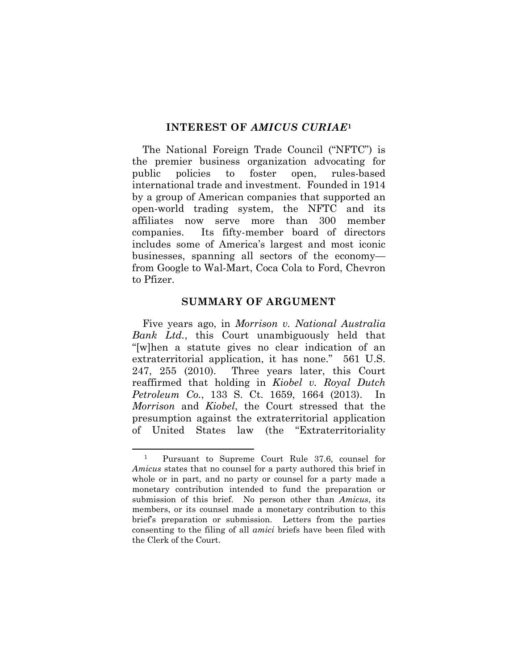#### **INTEREST OF** *AMICUS CURIAE***<sup>1</sup>**

The National Foreign Trade Council ("NFTC") is the premier business organization advocating for public policies to foster open, rules-based international trade and investment. Founded in 1914 by a group of American companies that supported an open-world trading system, the NFTC and its affiliates now serve more than 300 member companies. Its fifty-member board of directors includes some of America's largest and most iconic businesses, spanning all sectors of the economy from Google to Wal-Mart, Coca Cola to Ford, Chevron to Pfizer.

#### **SUMMARY OF ARGUMENT**

Five years ago, in *Morrison v. National Australia Bank Ltd.*, this Court unambiguously held that "[w]hen a statute gives no clear indication of an extraterritorial application, it has none." 561 U.S. 247, 255 (2010). Three years later, this Court reaffirmed that holding in *Kiobel v. Royal Dutch Petroleum Co.*, 133 S. Ct. 1659, 1664 (2013). In *Morrison* and *Kiobel*, the Court stressed that the presumption against the extraterritorial application of United States law (the "Extraterritoriality

<sup>1</sup> Pursuant to Supreme Court Rule 37.6, counsel for *Amicus* states that no counsel for a party authored this brief in whole or in part, and no party or counsel for a party made a monetary contribution intended to fund the preparation or submission of this brief. No person other than *Amicus*, its members, or its counsel made a monetary contribution to this brief's preparation or submission. Letters from the parties consenting to the filing of all *amici* briefs have been filed with the Clerk of the Court.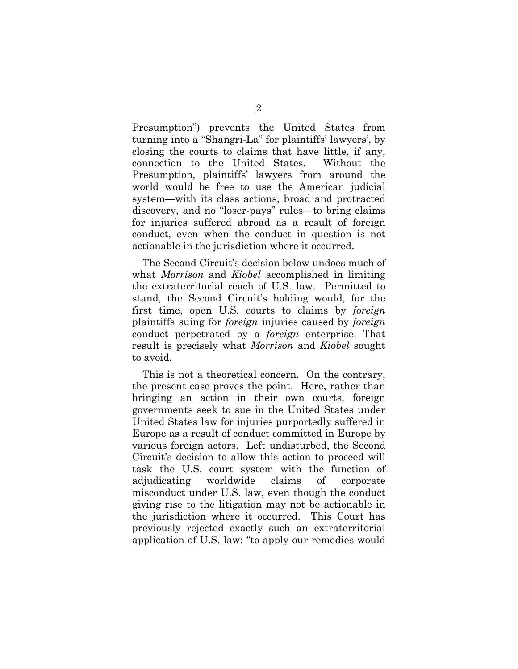Presumption") prevents the United States from turning into a "Shangri-La" for plaintiffs' lawyers', by closing the courts to claims that have little, if any, connection to the United States. Without the Presumption, plaintiffs' lawyers from around the world would be free to use the American judicial system—with its class actions, broad and protracted discovery, and no "loser-pays" rules—to bring claims for injuries suffered abroad as a result of foreign conduct, even when the conduct in question is not actionable in the jurisdiction where it occurred.

The Second Circuit's decision below undoes much of what *Morrison* and *Kiobel* accomplished in limiting the extraterritorial reach of U.S. law. Permitted to stand, the Second Circuit's holding would, for the first time, open U.S. courts to claims by *foreign* plaintiffs suing for *foreign* injuries caused by *foreign* conduct perpetrated by a *foreign* enterprise. That result is precisely what *Morrison* and *Kiobel* sought to avoid.

This is not a theoretical concern. On the contrary, the present case proves the point. Here, rather than bringing an action in their own courts, foreign governments seek to sue in the United States under United States law for injuries purportedly suffered in Europe as a result of conduct committed in Europe by various foreign actors. Left undisturbed, the Second Circuit's decision to allow this action to proceed will task the U.S. court system with the function of adjudicating worldwide claims of corporate misconduct under U.S. law, even though the conduct giving rise to the litigation may not be actionable in the jurisdiction where it occurred. This Court has previously rejected exactly such an extraterritorial application of U.S. law: "to apply our remedies would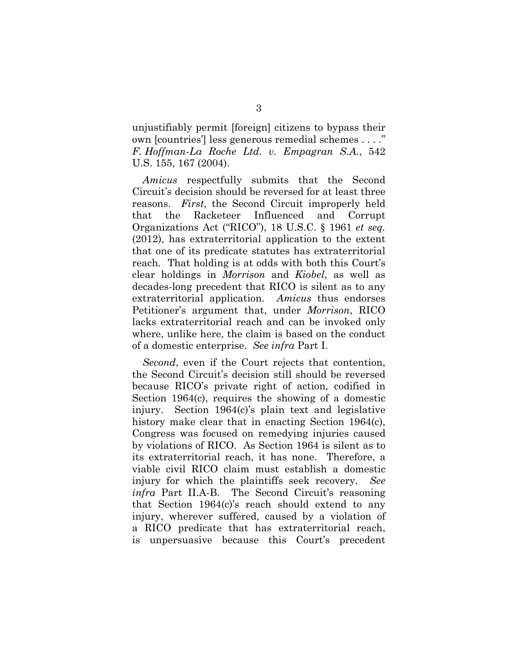unjustifiably permit [foreign] citizens to bypass their own [countries'] less generous remedial schemes . . . ." *F. Hoffman-La Roche Ltd. v. Empagran S.A.*, 542 U.S. 155, 167 (2004).

*Amicus* respectfully submits that the Second Circuit's decision should be reversed for at least three reasons. *First*, the Second Circuit improperly held that the Racketeer Influenced and Corrupt Organizations Act ("RICO"), 18 U.S.C. § 1961 *et seq.* (2012), has extraterritorial application to the extent that one of its predicate statutes has extraterritorial reach. That holding is at odds with both this Court's clear holdings in *Morrison* and *Kiobel*, as well as decades-long precedent that RICO is silent as to any extraterritorial application. *Amicus* thus endorses Petitioner's argument that, under *Morrison*, RICO lacks extraterritorial reach and can be invoked only where, unlike here, the claim is based on the conduct of a domestic enterprise. *See infra* Part I.

*Second*, even if the Court rejects that contention, the Second Circuit's decision still should be reversed because RICO's private right of action, codified in Section 1964(c), requires the showing of a domestic injury. Section 1964(c)'s plain text and legislative history make clear that in enacting Section 1964(c), Congress was focused on remedying injuries caused by violations of RICO. As Section 1964 is silent as to its extraterritorial reach, it has none. Therefore, a viable civil RICO claim must establish a domestic injury for which the plaintiffs seek recovery. *See infra* Part II.A-B. The Second Circuit's reasoning that Section 1964(c)'s reach should extend to any injury, wherever suffered, caused by a violation of a RICO predicate that has extraterritorial reach, is unpersuasive because this Court's precedent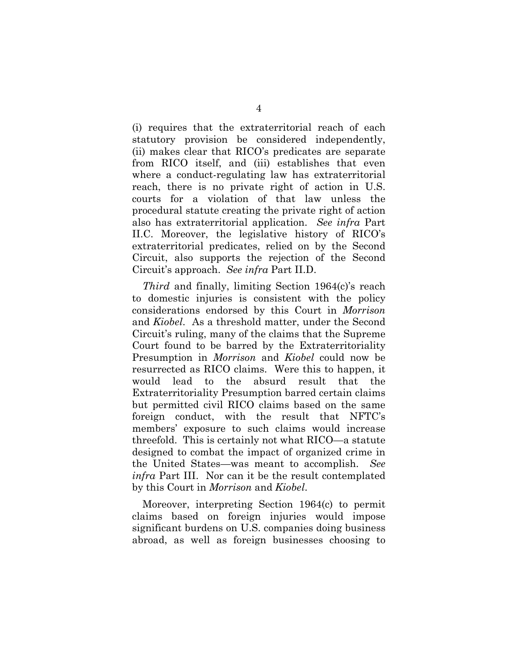(i) requires that the extraterritorial reach of each statutory provision be considered independently, (ii) makes clear that RICO's predicates are separate from RICO itself, and (iii) establishes that even where a conduct-regulating law has extraterritorial reach, there is no private right of action in U.S. courts for a violation of that law unless the procedural statute creating the private right of action also has extraterritorial application. *See infra* Part II.C. Moreover, the legislative history of RICO's extraterritorial predicates, relied on by the Second Circuit, also supports the rejection of the Second Circuit's approach. *See infra* Part II.D.

*Third* and finally, limiting Section 1964(c)'s reach to domestic injuries is consistent with the policy considerations endorsed by this Court in *Morrison* and *Kiobel*. As a threshold matter, under the Second Circuit's ruling, many of the claims that the Supreme Court found to be barred by the Extraterritoriality Presumption in *Morrison* and *Kiobel* could now be resurrected as RICO claims. Were this to happen, it would lead to the absurd result that the Extraterritoriality Presumption barred certain claims but permitted civil RICO claims based on the same foreign conduct, with the result that NFTC's members' exposure to such claims would increase threefold. This is certainly not what RICO—a statute designed to combat the impact of organized crime in the United States—was meant to accomplish. *See infra* Part III. Nor can it be the result contemplated by this Court in *Morrison* and *Kiobel*.

Moreover, interpreting Section 1964(c) to permit claims based on foreign injuries would impose significant burdens on U.S. companies doing business abroad, as well as foreign businesses choosing to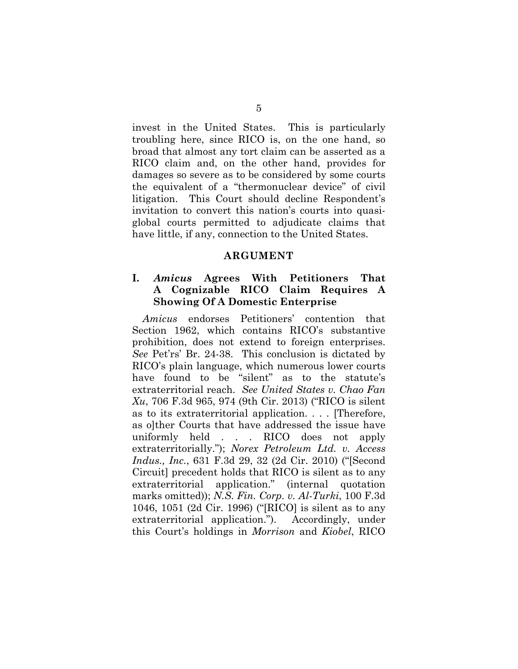invest in the United States. This is particularly troubling here, since RICO is, on the one hand, so broad that almost any tort claim can be asserted as a RICO claim and, on the other hand, provides for damages so severe as to be considered by some courts the equivalent of a "thermonuclear device" of civil litigation. This Court should decline Respondent's invitation to convert this nation's courts into quasiglobal courts permitted to adjudicate claims that have little, if any, connection to the United States.

#### **ARGUMENT**

#### **I.** *Amicus* **Agrees With Petitioners That A Cognizable RICO Claim Requires A Showing Of A Domestic Enterprise**

*Amicus* endorses Petitioners' contention that Section 1962, which contains RICO's substantive prohibition, does not extend to foreign enterprises. *See* Pet'rs' Br. 24-38. This conclusion is dictated by RICO's plain language, which numerous lower courts have found to be "silent" as to the statute's extraterritorial reach. *See United States v. Chao Fan Xu*, 706 F.3d 965, 974 (9th Cir. 2013) ("RICO is silent as to its extraterritorial application. . . . [Therefore, as olther Courts that have addressed the issue have uniformly held . . . RICO does not apply extraterritorially."); *Norex Petroleum Ltd. v. Access Indus., Inc.*, 631 F.3d 29, 32 (2d Cir. 2010) ("[Second Circuit] precedent holds that RICO is silent as to any extraterritorial application." (internal quotation marks omitted)); *N.S. Fin. Corp. v. Al-Turki*, 100 F.3d 1046, 1051 (2d Cir. 1996) ("[RICO] is silent as to any extraterritorial application."). Accordingly, under this Court's holdings in *Morrison* and *Kiobel*, RICO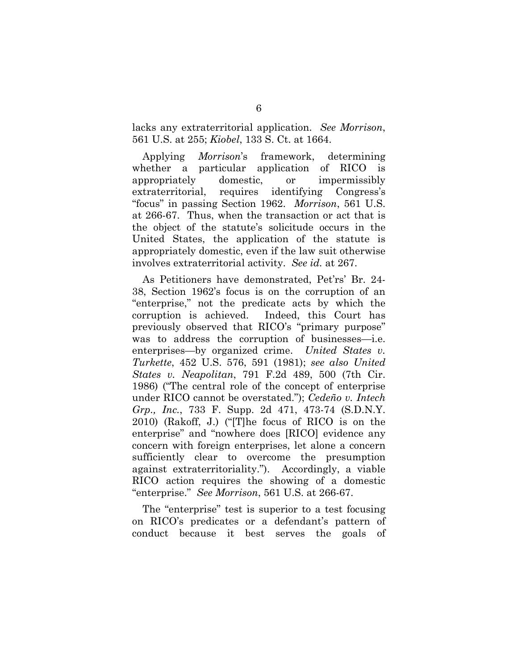lacks any extraterritorial application. *See Morrison*, 561 U.S. at 255; *Kiobel*, 133 S. Ct. at 1664.

Applying *Morrison*'s framework, determining whether a particular application of RICO is appropriately domestic, or impermissibly extraterritorial, requires identifying Congress's "focus" in passing Section 1962. *Morrison*, 561 U.S. at 266-67. Thus, when the transaction or act that is the object of the statute's solicitude occurs in the United States, the application of the statute is appropriately domestic, even if the law suit otherwise involves extraterritorial activity. *See id.* at 267.

As Petitioners have demonstrated, Pet'rs' Br. 24- 38, Section 1962's focus is on the corruption of an "enterprise," not the predicate acts by which the corruption is achieved. Indeed, this Court has previously observed that RICO's "primary purpose" was to address the corruption of businesses—i.e. enterprises—by organized crime. *United States v. Turkette*, 452 U.S. 576, 591 (1981); *see also United States v. Neapolitan*, 791 F.2d 489, 500 (7th Cir. 1986) ("The central role of the concept of enterprise under RICO cannot be overstated."); *Cedeño v. Intech Grp., Inc.*, 733 F. Supp. 2d 471, 473-74 (S.D.N.Y. 2010) (Rakoff, J.) ("[T]he focus of RICO is on the enterprise" and "nowhere does [RICO] evidence any concern with foreign enterprises, let alone a concern sufficiently clear to overcome the presumption against extraterritoriality."). Accordingly, a viable RICO action requires the showing of a domestic "enterprise." *See Morrison*, 561 U.S. at 266-67.

The "enterprise" test is superior to a test focusing on RICO's predicates or a defendant's pattern of conduct because it best serves the goals of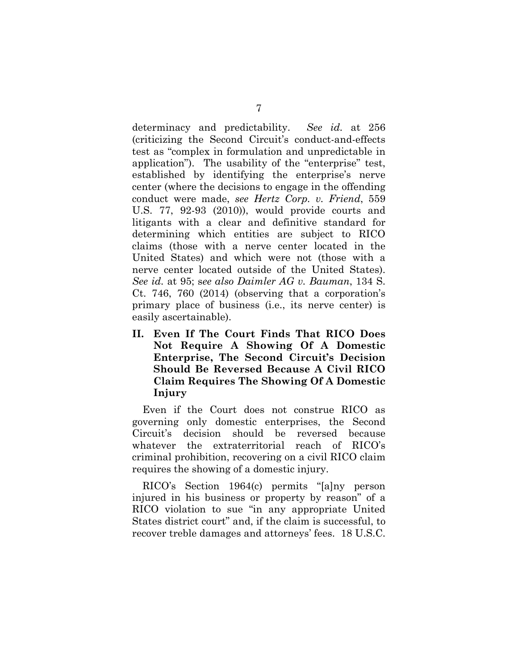determinacy and predictability. *See id.* at 256 (criticizing the Second Circuit's conduct-and-effects test as "complex in formulation and unpredictable in application"). The usability of the "enterprise" test, established by identifying the enterprise's nerve center (where the decisions to engage in the offending conduct were made, *see Hertz Corp. v. Friend*, 559 U.S. 77, 92-93 (2010)), would provide courts and litigants with a clear and definitive standard for determining which entities are subject to RICO claims (those with a nerve center located in the United States) and which were not (those with a nerve center located outside of the United States). *See id.* at 95; s*ee also Daimler AG v. Bauman*, 134 S. Ct. 746, 760 (2014) (observing that a corporation's primary place of business (i.e., its nerve center) is easily ascertainable).

**II. Even If The Court Finds That RICO Does Not Require A Showing Of A Domestic Enterprise, The Second Circuit's Decision Should Be Reversed Because A Civil RICO Claim Requires The Showing Of A Domestic Injury** 

Even if the Court does not construe RICO as governing only domestic enterprises, the Second Circuit's decision should be reversed because whatever the extraterritorial reach of RICO's criminal prohibition, recovering on a civil RICO claim requires the showing of a domestic injury.

RICO's Section 1964(c) permits "[a]ny person injured in his business or property by reason" of a RICO violation to sue "in any appropriate United States district court" and, if the claim is successful, to recover treble damages and attorneys' fees. 18 U.S.C.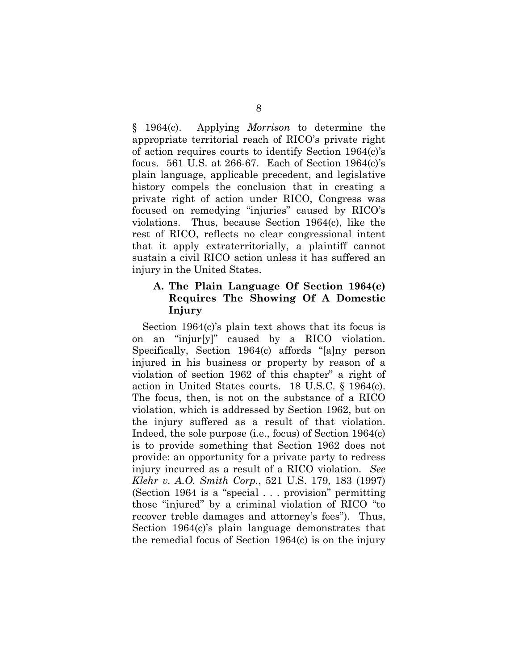§ 1964(c). Applying *Morrison* to determine the appropriate territorial reach of RICO's private right of action requires courts to identify Section 1964(c)'s focus. 561 U.S. at 266-67. Each of Section 1964(c)'s plain language, applicable precedent, and legislative history compels the conclusion that in creating a private right of action under RICO, Congress was focused on remedying "injuries" caused by RICO's violations. Thus, because Section 1964(c), like the rest of RICO, reflects no clear congressional intent that it apply extraterritorially, a plaintiff cannot sustain a civil RICO action unless it has suffered an injury in the United States.

#### **A. The Plain Language Of Section 1964(c) Requires The Showing Of A Domestic Injury**

Section 1964(c)'s plain text shows that its focus is on an "injur[y]" caused by a RICO violation. Specifically, Section 1964(c) affords "[a]ny person injured in his business or property by reason of a violation of section 1962 of this chapter" a right of action in United States courts. 18 U.S.C. § 1964(c). The focus, then, is not on the substance of a RICO violation, which is addressed by Section 1962, but on the injury suffered as a result of that violation. Indeed, the sole purpose (i.e., focus) of Section 1964(c) is to provide something that Section 1962 does not provide: an opportunity for a private party to redress injury incurred as a result of a RICO violation. *See Klehr v. A.O. Smith Corp.*, 521 U.S. 179, 183 (1997) (Section 1964 is a "special . . . provision" permitting those "injured" by a criminal violation of RICO "to recover treble damages and attorney's fees"). Thus, Section 1964(c)'s plain language demonstrates that the remedial focus of Section 1964(c) is on the injury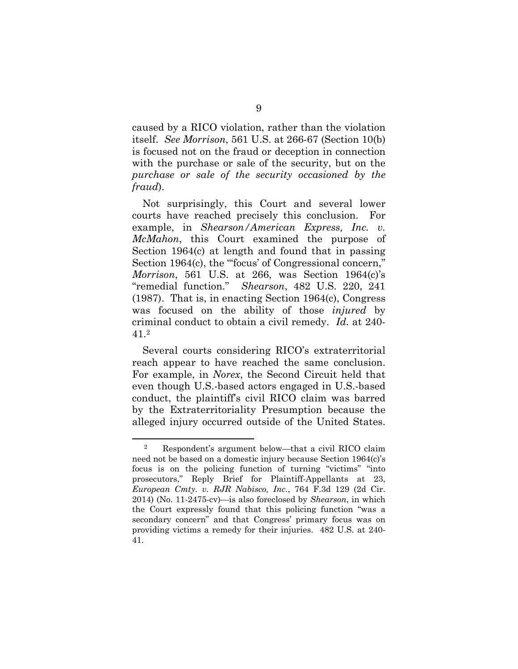caused by a RICO violation, rather than the violation itself. *See Morrison*, 561 U.S. at 266-67 (Section 10(b) is focused not on the fraud or deception in connection with the purchase or sale of the security, but on the *purchase or sale of the security occasioned by the fraud*).

Not surprisingly, this Court and several lower courts have reached precisely this conclusion. For example, in *Shearson/American Express, Inc. v. McMahon*, this Court examined the purpose of Section 1964(c) at length and found that in passing Section 1964(c), the "focus' of Congressional concern," *Morrison*, 561 U.S. at 266, was Section 1964(c)'s "remedial function." *Shearson*, 482 U.S. 220, 241 (1987). That is, in enacting Section 1964(c), Congress was focused on the ability of those *injured* by criminal conduct to obtain a civil remedy. *Id.* at 240- 41.2

Several courts considering RICO's extraterritorial reach appear to have reached the same conclusion. For example, in *Norex*, the Second Circuit held that even though U.S.-based actors engaged in U.S.-based conduct, the plaintiff's civil RICO claim was barred by the Extraterritoriality Presumption because the alleged injury occurred outside of the United States.

<sup>2</sup> Respondent's argument below—that a civil RICO claim need not be based on a domestic injury because Section 1964(c)'s focus is on the policing function of turning "victims" "into prosecutors," Reply Brief for Plaintiff-Appellants at 23, *European Cmty. v. RJR Nabisco, Inc.*, 764 F.3d 129 (2d Cir. 2014) (No. 11-2475-cv)—is also foreclosed by *Shearson*, in which the Court expressly found that this policing function "was a secondary concern" and that Congress' primary focus was on providing victims a remedy for their injuries. 482 U.S. at 240- 41.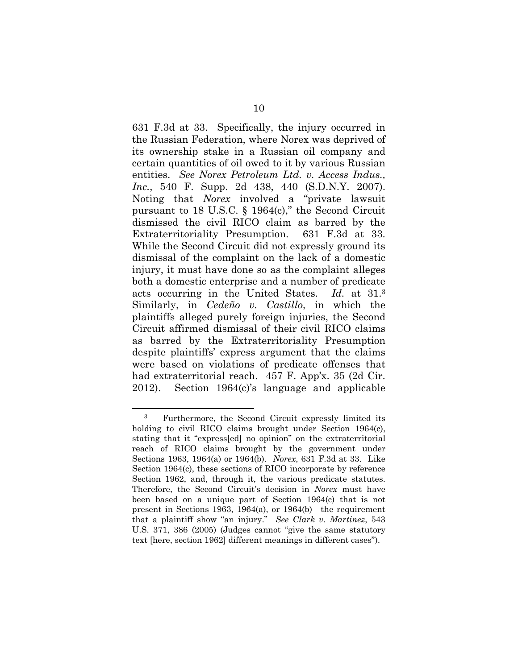631 F.3d at 33. Specifically, the injury occurred in the Russian Federation, where Norex was deprived of its ownership stake in a Russian oil company and certain quantities of oil owed to it by various Russian entities. *See Norex Petroleum Ltd. v. Access Indus., Inc.*, 540 F. Supp. 2d 438, 440 (S.D.N.Y. 2007). Noting that *Norex* involved a "private lawsuit pursuant to 18 U.S.C. § 1964(c)," the Second Circuit dismissed the civil RICO claim as barred by the Extraterritoriality Presumption. 631 F.3d at 33. While the Second Circuit did not expressly ground its dismissal of the complaint on the lack of a domestic injury, it must have done so as the complaint alleges both a domestic enterprise and a number of predicate acts occurring in the United States. *Id.* at 31.3 Similarly, in *Cedeño v. Castillo*, in which the plaintiffs alleged purely foreign injuries, the Second Circuit affirmed dismissal of their civil RICO claims as barred by the Extraterritoriality Presumption despite plaintiffs' express argument that the claims were based on violations of predicate offenses that had extraterritorial reach. 457 F. App'x. 35 (2d Cir. 2012). Section 1964(c)'s language and applicable

<sup>3</sup> Furthermore, the Second Circuit expressly limited its holding to civil RICO claims brought under Section 1964(c), stating that it "express[ed] no opinion" on the extraterritorial reach of RICO claims brought by the government under Sections 1963, 1964(a) or 1964(b). *Norex*, 631 F.3d at 33. Like Section 1964(c), these sections of RICO incorporate by reference Section 1962, and, through it, the various predicate statutes. Therefore, the Second Circuit's decision in *Norex* must have been based on a unique part of Section 1964(c) that is not present in Sections 1963, 1964(a), or 1964(b)—the requirement that a plaintiff show "an injury." *See Clark v. Martinez*, 543 U.S. 371, 386 (2005) (Judges cannot "give the same statutory text [here, section 1962] different meanings in different cases").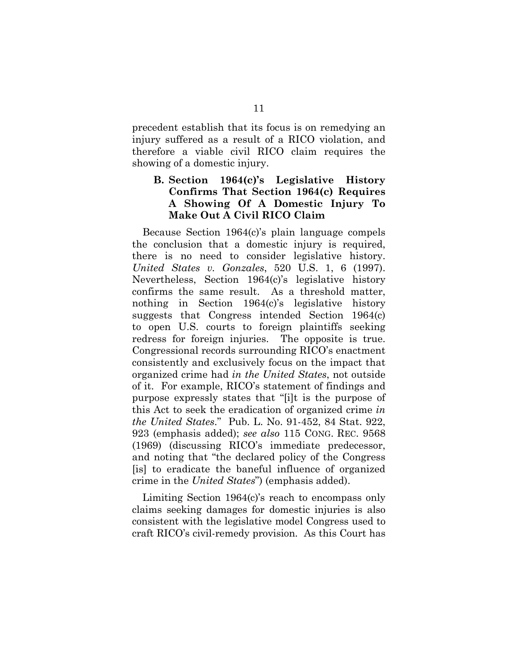precedent establish that its focus is on remedying an injury suffered as a result of a RICO violation, and therefore a viable civil RICO claim requires the showing of a domestic injury.

## **B. Section 1964(c)'s Legislative History Confirms That Section 1964(c) Requires A Showing Of A Domestic Injury To Make Out A Civil RICO Claim**

Because Section 1964(c)'s plain language compels the conclusion that a domestic injury is required, there is no need to consider legislative history. *United States v. Gonzales*, 520 U.S. 1, 6 (1997). Nevertheless, Section 1964(c)'s legislative history confirms the same result. As a threshold matter, nothing in Section 1964(c)'s legislative history suggests that Congress intended Section 1964(c) to open U.S. courts to foreign plaintiffs seeking redress for foreign injuries. The opposite is true. Congressional records surrounding RICO's enactment consistently and exclusively focus on the impact that organized crime had *in the United States*, not outside of it. For example, RICO's statement of findings and purpose expressly states that "[i]t is the purpose of this Act to seek the eradication of organized crime *in the United States*." Pub. L. No. 91-452, 84 Stat. 922, 923 (emphasis added); *see also* 115 CONG. REC. 9568 (1969) (discussing RICO's immediate predecessor, and noting that "the declared policy of the Congress [is] to eradicate the baneful influence of organized crime in the *United States*") (emphasis added).

Limiting Section 1964(c)'s reach to encompass only claims seeking damages for domestic injuries is also consistent with the legislative model Congress used to craft RICO's civil-remedy provision. As this Court has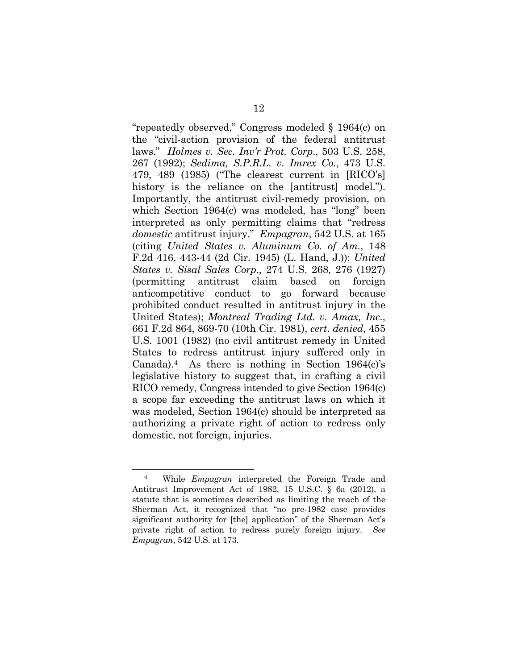"repeatedly observed," Congress modeled § 1964(c) on the "civil-action provision of the federal antitrust laws." *Holmes v. Sec. Inv'r Prot. Corp*., 503 U.S. 258, 267 (1992); *Sedima, S.P.R.L. v. Imrex Co.*, 473 U.S. 479, 489 (1985) ("The clearest current in [RICO's] history is the reliance on the [antitrust] model."). Importantly, the antitrust civil-remedy provision, on which Section 1964(c) was modeled, has "long" been interpreted as only permitting claims that "redress *domestic* antitrust injury." *Empagran*, 542 U.S. at 165 (citing *United States v. Aluminum Co. of Am.*, 148 F.2d 416, 443-44 (2d Cir. 1945) (L. Hand, J.)); *United States v. Sisal Sales Corp*., 274 U.S. 268, 276 (1927) (permitting antitrust claim based on foreign anticompetitive conduct to go forward because prohibited conduct resulted in antitrust injury in the United States); *Montreal Trading Ltd. v. Amax, Inc.*, 661 F.2d 864, 869-70 (10th Cir. 1981), *cert*. *denied*, 455 U.S. 1001 (1982) (no civil antitrust remedy in United States to redress antitrust injury suffered only in Canada).<sup>4</sup> As there is nothing in Section  $1964(c)$ 's legislative history to suggest that, in crafting a civil RICO remedy, Congress intended to give Section 1964(c) a scope far exceeding the antitrust laws on which it was modeled, Section 1964(c) should be interpreted as authorizing a private right of action to redress only domestic, not foreign, injuries.

<sup>4</sup> While *Empagran* interpreted the Foreign Trade and Antitrust Improvement Act of 1982, 15 U.S.C. § 6a (2012), a statute that is sometimes described as limiting the reach of the Sherman Act, it recognized that "no pre-1982 case provides significant authority for [the] application" of the Sherman Act's private right of action to redress purely foreign injury. *See Empagran*, 542 U.S. at 173.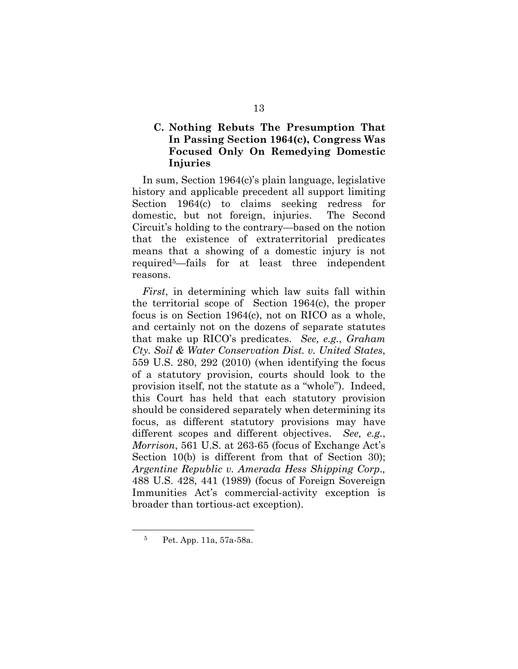## **C. Nothing Rebuts The Presumption That In Passing Section 1964(c), Congress Was Focused Only On Remedying Domestic Injuries**

In sum, Section 1964(c)'s plain language, legislative history and applicable precedent all support limiting Section 1964(c) to claims seeking redress for domestic, but not foreign, injuries. The Second Circuit's holding to the contrary—based on the notion that the existence of extraterritorial predicates means that a showing of a domestic injury is not required5—fails for at least three independent reasons.

*First*, in determining which law suits fall within the territorial scope of Section 1964(c), the proper focus is on Section 1964(c), not on RICO as a whole, and certainly not on the dozens of separate statutes that make up RICO's predicates. *See, e.g.*, *Graham Cty. Soil & Water Conservation Dist. v. United States*, 559 U.S. 280, 292 (2010) (when identifying the focus of a statutory provision, courts should look to the provision itself, not the statute as a "whole"). Indeed, this Court has held that each statutory provision should be considered separately when determining its focus, as different statutory provisions may have different scopes and different objectives. *See, e.g.*, *Morrison*, 561 U.S. at 263-65 (focus of Exchange Act's Section 10(b) is different from that of Section 30); *Argentine Republic v. Amerada Hess Shipping Corp*.*,*  488 U.S. 428, 441 (1989) (focus of Foreign Sovereign Immunities Act's commercial-activity exception is broader than tortious-act exception).

<sup>5</sup> Pet. App. 11a, 57a-58a.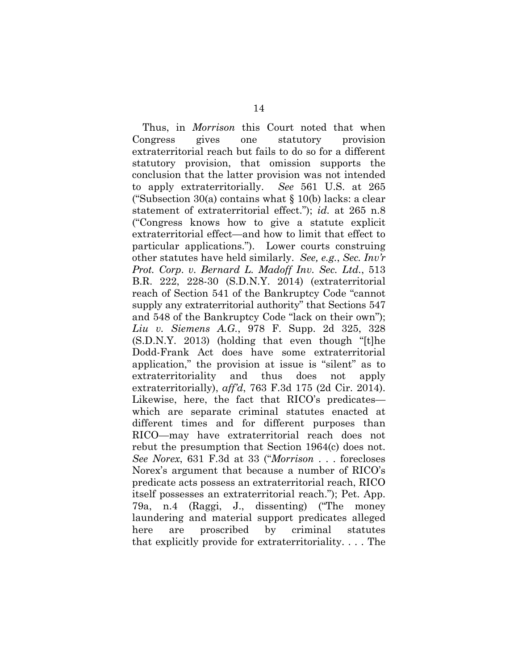Thus, in *Morrison* this Court noted that when Congress gives one statutory provision extraterritorial reach but fails to do so for a different statutory provision, that omission supports the conclusion that the latter provision was not intended to apply extraterritorially. *See* 561 U.S. at 265 ("Subsection 30(a) contains what  $\S 10(b)$  lacks: a clear statement of extraterritorial effect."); *id.* at 265 n.8 ("Congress knows how to give a statute explicit extraterritorial effect—and how to limit that effect to particular applications."). Lower courts construing other statutes have held similarly. *See, e.g.*, *Sec. Inv'r Prot. Corp*. *v. Bernard L. Madoff Inv. Sec. Ltd.*, 513 B.R. 222, 228-30 (S.D.N.Y. 2014) (extraterritorial reach of Section 541 of the Bankruptcy Code "cannot supply any extraterritorial authority" that Sections 547 and 548 of the Bankruptcy Code "lack on their own"); *Liu v. Siemens A.G.*, 978 F. Supp. 2d 325, 328 (S.D.N.Y. 2013) (holding that even though "[t]he Dodd-Frank Act does have some extraterritorial application," the provision at issue is "silent" as to extraterritoriality and thus does not apply extraterritorially), *aff'd*, 763 F.3d 175 (2d Cir. 2014). Likewise, here, the fact that RICO's predicates which are separate criminal statutes enacted at different times and for different purposes than RICO—may have extraterritorial reach does not rebut the presumption that Section 1964(c) does not. *See Norex*, 631 F.3d at 33 ("*Morrison* . . . forecloses Norex's argument that because a number of RICO's predicate acts possess an extraterritorial reach, RICO itself possesses an extraterritorial reach."); Pet. App. 79a, n.4 (Raggi, J., dissenting) ("The money laundering and material support predicates alleged here are proscribed by criminal statutes that explicitly provide for extraterritoriality. . . . The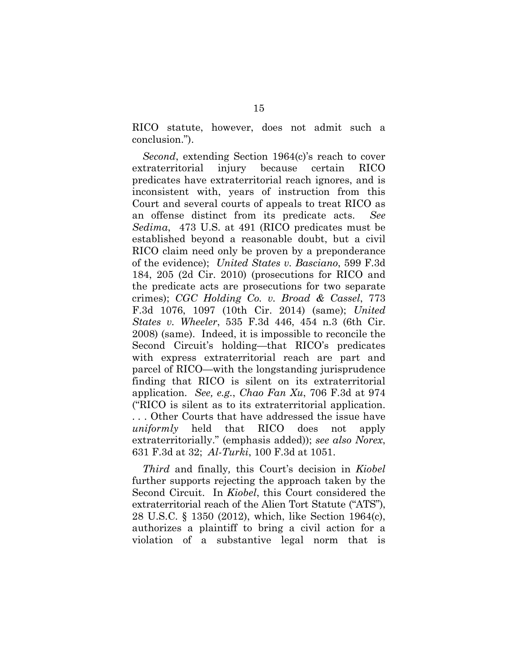RICO statute, however, does not admit such a conclusion.").

*Second*, extending Section 1964(c)'s reach to cover extraterritorial injury because certain RICO predicates have extraterritorial reach ignores, and is inconsistent with, years of instruction from this Court and several courts of appeals to treat RICO as an offense distinct from its predicate acts. *See Sedima*, 473 U.S. at 491 (RICO predicates must be established beyond a reasonable doubt, but a civil RICO claim need only be proven by a preponderance of the evidence); *United States v. Basciano*, 599 F.3d 184, 205 (2d Cir. 2010) (prosecutions for RICO and the predicate acts are prosecutions for two separate crimes); *CGC Holding Co. v. Broad & Cassel*, 773 F.3d 1076, 1097 (10th Cir. 2014) (same); *United States v. Wheeler*, 535 F.3d 446, 454 n.3 (6th Cir. 2008) (same). Indeed, it is impossible to reconcile the Second Circuit's holding—that RICO's predicates with express extraterritorial reach are part and parcel of RICO—with the longstanding jurisprudence finding that RICO is silent on its extraterritorial application. *See, e.g.*, *Chao Fan Xu*, 706 F.3d at 974 ("RICO is silent as to its extraterritorial application. . . . Other Courts that have addressed the issue have *uniformly* held that RICO does not apply extraterritorially." (emphasis added)); *see also Norex*, 631 F.3d at 32; *Al-Turki*, 100 F.3d at 1051.

*Third* and finally*,* this Court's decision in *Kiobel* further supports rejecting the approach taken by the Second Circuit. In *Kiobel*, this Court considered the extraterritorial reach of the Alien Tort Statute ("ATS"), 28 U.S.C. § 1350 (2012), which, like Section 1964(c), authorizes a plaintiff to bring a civil action for a violation of a substantive legal norm that is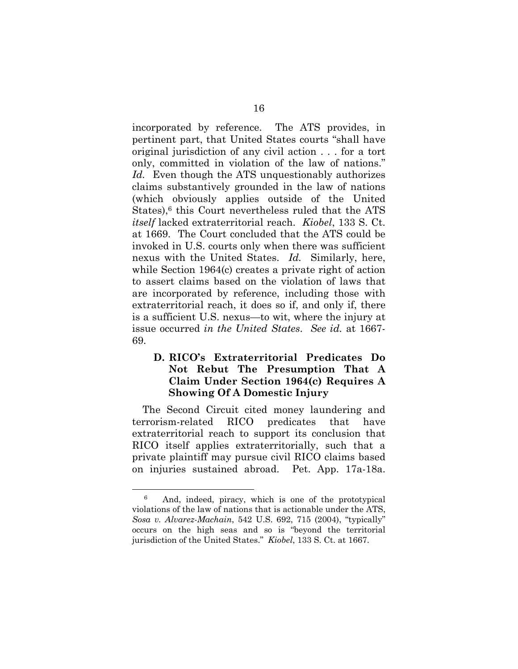incorporated by reference. The ATS provides, in pertinent part, that United States courts "shall have original jurisdiction of any civil action . . . for a tort only, committed in violation of the law of nations." *Id.* Even though the ATS unquestionably authorizes claims substantively grounded in the law of nations (which obviously applies outside of the United States),<sup>6</sup> this Court nevertheless ruled that the ATS *itself* lacked extraterritorial reach. *Kiobel*, 133 S. Ct. at 1669. The Court concluded that the ATS could be invoked in U.S. courts only when there was sufficient nexus with the United States. *Id.* Similarly, here, while Section 1964(c) creates a private right of action to assert claims based on the violation of laws that are incorporated by reference, including those with extraterritorial reach, it does so if, and only if, there is a sufficient U.S. nexus—to wit, where the injury at issue occurred *in the United States*. *See id.* at 1667- 69.

## **D. RICO's Extraterritorial Predicates Do Not Rebut The Presumption That A Claim Under Section 1964(c) Requires A Showing Of A Domestic Injury**

The Second Circuit cited money laundering and terrorism-related RICO predicates that have extraterritorial reach to support its conclusion that RICO itself applies extraterritorially, such that a private plaintiff may pursue civil RICO claims based on injuries sustained abroad. Pet. App. 17a-18a.

<sup>6</sup> And, indeed, piracy, which is one of the prototypical violations of the law of nations that is actionable under the ATS, *Sosa v. Alvarez-Machain*, 542 U.S. 692, 715 (2004), "typically" occurs on the high seas and so is "beyond the territorial jurisdiction of the United States." *Kiobel*, 133 S. Ct. at 1667.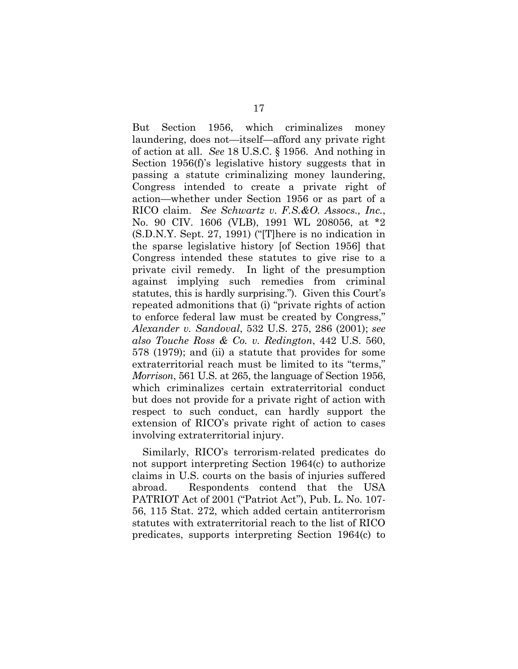But Section 1956, which criminalizes money laundering, does not—itself—afford any private right of action at all. *See* 18 U.S.C. § 1956. And nothing in Section 1956(f)'s legislative history suggests that in passing a statute criminalizing money laundering, Congress intended to create a private right of action—whether under Section 1956 or as part of a RICO claim. *See Schwartz v. F.S.&O. Assocs., Inc.*, No. 90 CIV. 1606 (VLB), 1991 WL 208056, at \*2 (S.D.N.Y. Sept. 27, 1991) ("[T]here is no indication in the sparse legislative history [of Section 1956] that Congress intended these statutes to give rise to a private civil remedy. In light of the presumption against implying such remedies from criminal statutes, this is hardly surprising."). Given this Court's repeated admonitions that (i) "private rights of action to enforce federal law must be created by Congress," *Alexander v. Sandoval*, 532 U.S. 275, 286 (2001); *see also Touche Ross & Co. v. Redington*, 442 U.S. 560, 578 (1979); and (ii) a statute that provides for some extraterritorial reach must be limited to its "terms," *Morrison*, 561 U.S. at 265, the language of Section 1956, which criminalizes certain extraterritorial conduct but does not provide for a private right of action with respect to such conduct, can hardly support the extension of RICO's private right of action to cases involving extraterritorial injury.

Similarly, RICO's terrorism-related predicates do not support interpreting Section 1964(c) to authorize claims in U.S. courts on the basis of injuries suffered abroad. Respondents contend that the USA PATRIOT Act of 2001 ("Patriot Act"), Pub. L. No. 107- 56, 115 Stat. 272, which added certain antiterrorism statutes with extraterritorial reach to the list of RICO predicates, supports interpreting Section 1964(c) to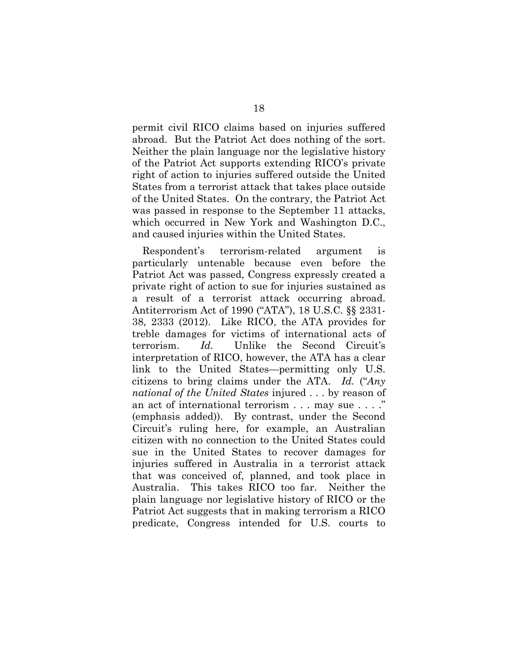permit civil RICO claims based on injuries suffered abroad. But the Patriot Act does nothing of the sort. Neither the plain language nor the legislative history of the Patriot Act supports extending RICO's private right of action to injuries suffered outside the United States from a terrorist attack that takes place outside of the United States. On the contrary, the Patriot Act was passed in response to the September 11 attacks, which occurred in New York and Washington D.C., and caused injuries within the United States.

Respondent's terrorism-related argument is particularly untenable because even before the Patriot Act was passed, Congress expressly created a private right of action to sue for injuries sustained as a result of a terrorist attack occurring abroad. Antiterrorism Act of 1990 ("ATA"), 18 U.S.C. §§ 2331- 38, 2333 (2012). Like RICO, the ATA provides for treble damages for victims of international acts of terrorism. *Id.* Unlike the Second Circuit's interpretation of RICO, however, the ATA has a clear link to the United States—permitting only U.S. citizens to bring claims under the ATA. *Id.* ("*Any national of the United States* injured . . . by reason of an act of international terrorism . . . may sue . . . ." (emphasis added)). By contrast, under the Second Circuit's ruling here, for example, an Australian citizen with no connection to the United States could sue in the United States to recover damages for injuries suffered in Australia in a terrorist attack that was conceived of, planned, and took place in Australia. This takes RICO too far. Neither the plain language nor legislative history of RICO or the Patriot Act suggests that in making terrorism a RICO predicate, Congress intended for U.S. courts to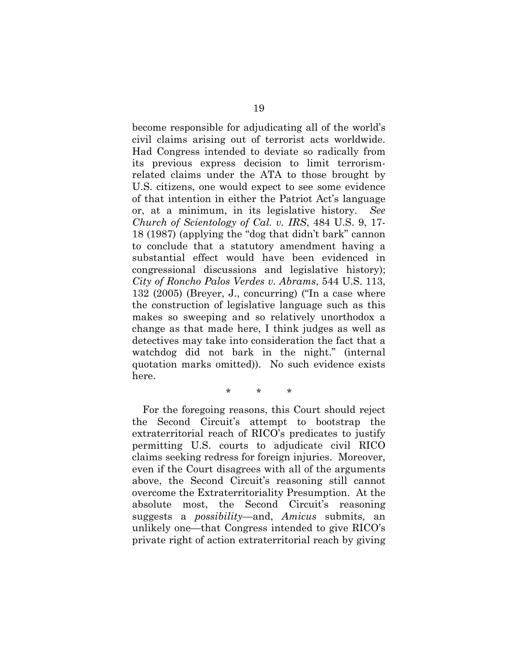become responsible for adjudicating all of the world's civil claims arising out of terrorist acts worldwide. Had Congress intended to deviate so radically from its previous express decision to limit terrorismrelated claims under the ATA to those brought by U.S. citizens, one would expect to see some evidence of that intention in either the Patriot Act's language or, at a minimum, in its legislative history. *See Church of Scientology of Cal. v. IRS*, 484 U.S. 9, 17- 18 (1987) (applying the "dog that didn't bark" cannon to conclude that a statutory amendment having a substantial effect would have been evidenced in congressional discussions and legislative history); *City of Roncho Palos Verdes v. Abrams*, 544 U.S. 113, 132 (2005) (Breyer, J., concurring) ("In a case where the construction of legislative language such as this makes so sweeping and so relatively unorthodox a change as that made here, I think judges as well as detectives may take into consideration the fact that a watchdog did not bark in the night." (internal quotation marks omitted)). No such evidence exists here.

\* \* \*

For the foregoing reasons, this Court should reject the Second Circuit's attempt to bootstrap the extraterritorial reach of RICO's predicates to justify permitting U.S. courts to adjudicate civil RICO claims seeking redress for foreign injuries. Moreover, even if the Court disagrees with all of the arguments above, the Second Circuit's reasoning still cannot overcome the Extraterritoriality Presumption. At the absolute most, the Second Circuit's reasoning suggests a *possibility*—and, *Amicus* submits, an unlikely one—that Congress intended to give RICO's private right of action extraterritorial reach by giving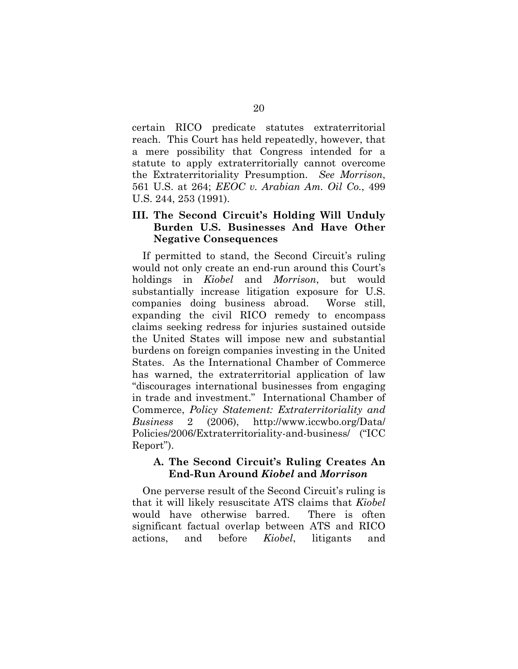certain RICO predicate statutes extraterritorial reach. This Court has held repeatedly, however, that a mere possibility that Congress intended for a statute to apply extraterritorially cannot overcome the Extraterritoriality Presumption. *See Morrison*, 561 U.S. at 264; *EEOC v. Arabian Am. Oil Co.*, 499 U.S. 244, 253 (1991).

## **III. The Second Circuit's Holding Will Unduly Burden U.S. Businesses And Have Other Negative Consequences**

If permitted to stand, the Second Circuit's ruling would not only create an end-run around this Court's holdings in *Kiobel* and *Morrison*, but would substantially increase litigation exposure for U.S. companies doing business abroad. Worse still, expanding the civil RICO remedy to encompass claims seeking redress for injuries sustained outside the United States will impose new and substantial burdens on foreign companies investing in the United States. As the International Chamber of Commerce has warned, the extraterritorial application of law "discourages international businesses from engaging in trade and investment." International Chamber of Commerce, *Policy Statement: Extraterritoriality and Business* 2 (2006), http://www.iccwbo.org/Data/ Policies/2006/Extraterritoriality-and-business/ ("ICC Report").

#### **A. The Second Circuit's Ruling Creates An End-Run Around** *Kiobel* **and** *Morrison*

One perverse result of the Second Circuit's ruling is that it will likely resuscitate ATS claims that *Kiobel* would have otherwise barred. There is often significant factual overlap between ATS and RICO actions, and before *Kiobel*, litigants and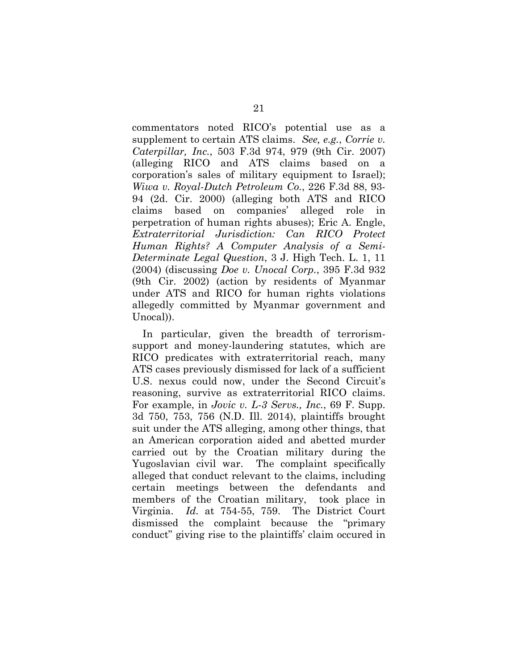commentators noted RICO's potential use as a supplement to certain ATS claims. *See, e.g.*, *Corrie v. Caterpillar, Inc.*, 503 F.3d 974, 979 (9th Cir. 2007) (alleging RICO and ATS claims based on a corporation's sales of military equipment to Israel); *Wiwa v. Royal-Dutch Petroleum Co.*, 226 F.3d 88, 93- 94 (2d. Cir. 2000) (alleging both ATS and RICO claims based on companies' alleged role in perpetration of human rights abuses); Eric A. Engle, *Extraterritorial Jurisdiction: Can RICO Protect Human Rights? A Computer Analysis of a Semi-Determinate Legal Question*, 3 J. High Tech. L. 1, 11 (2004) (discussing *Doe v. Unocal Corp.*, 395 F.3d 932 (9th Cir. 2002) (action by residents of Myanmar under ATS and RICO for human rights violations allegedly committed by Myanmar government and Unocal)).

In particular, given the breadth of terrorismsupport and money-laundering statutes, which are RICO predicates with extraterritorial reach, many ATS cases previously dismissed for lack of a sufficient U.S. nexus could now, under the Second Circuit's reasoning, survive as extraterritorial RICO claims. For example, in *Jovic v. L-3 Servs., Inc.*, 69 F. Supp. 3d 750, 753, 756 (N.D. Ill. 2014), plaintiffs brought suit under the ATS alleging, among other things, that an American corporation aided and abetted murder carried out by the Croatian military during the Yugoslavian civil war. The complaint specifically alleged that conduct relevant to the claims, including certain meetings between the defendants and members of the Croatian military, took place in Virginia. *Id.* at 754-55, 759. The District Court dismissed the complaint because the "primary conduct" giving rise to the plaintiffs' claim occured in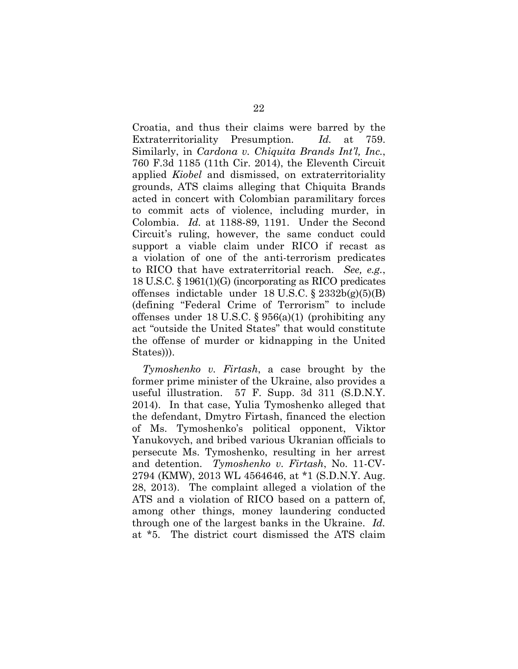Croatia, and thus their claims were barred by the Extraterritoriality Presumption. *Id.* at 759. Similarly, in *Cardona v. Chiquita Brands Int'l, Inc.*, 760 F.3d 1185 (11th Cir. 2014), the Eleventh Circuit applied *Kiobel* and dismissed, on extraterritoriality grounds, ATS claims alleging that Chiquita Brands acted in concert with Colombian paramilitary forces to commit acts of violence, including murder, in Colombia. *Id.* at 1188-89, 1191. Under the Second Circuit's ruling, however, the same conduct could support a viable claim under RICO if recast as a violation of one of the anti-terrorism predicates to RICO that have extraterritorial reach. *See, e.g.*, 18 U.S.C. § 1961(1)(G) (incorporating as RICO predicates offenses indictable under 18 U.S.C. § 2332b(g)(5)(B) (defining "Federal Crime of Terrorism" to include offenses under 18 U.S.C. § 956(a)(1) (prohibiting any act "outside the United States" that would constitute the offense of murder or kidnapping in the United States))).

*Tymoshenko v. Firtash*, a case brought by the former prime minister of the Ukraine, also provides a useful illustration. 57 F. Supp. 3d 311 (S.D.N.Y. 2014). In that case, Yulia Tymoshenko alleged that the defendant, Dmytro Firtash, financed the election of Ms. Tymoshenko's political opponent, Viktor Yanukovych, and bribed various Ukranian officials to persecute Ms. Tymoshenko, resulting in her arrest and detention. *Tymoshenko v. Firtash*, No. 11-CV-2794 (KMW), 2013 WL 4564646, at \*1 (S.D.N.Y. Aug. 28, 2013). The complaint alleged a violation of the ATS and a violation of RICO based on a pattern of, among other things, money laundering conducted through one of the largest banks in the Ukraine. *Id.* at \*5. The district court dismissed the ATS claim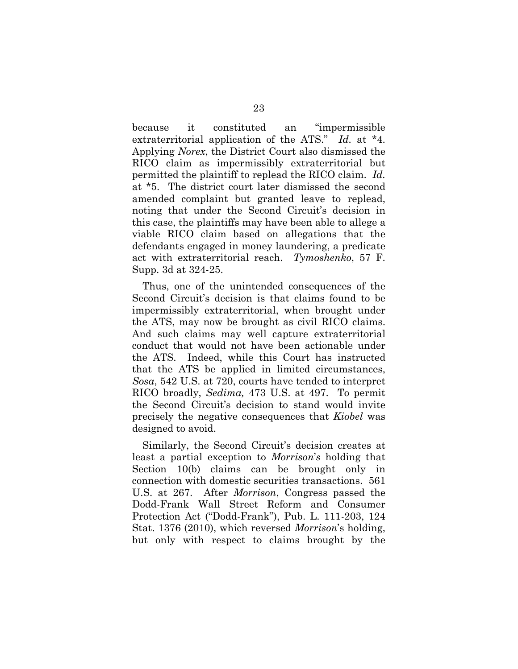because it constituted an "impermissible extraterritorial application of the ATS." *Id.* at \*4. Applying *Norex*, the District Court also dismissed the RICO claim as impermissibly extraterritorial but permitted the plaintiff to replead the RICO claim. *Id.* at \*5. The district court later dismissed the second amended complaint but granted leave to replead, noting that under the Second Circuit's decision in this case, the plaintiffs may have been able to allege a viable RICO claim based on allegations that the defendants engaged in money laundering, a predicate act with extraterritorial reach. *Tymoshenko*, 57 F. Supp. 3d at 324-25.

Thus, one of the unintended consequences of the Second Circuit's decision is that claims found to be impermissibly extraterritorial, when brought under the ATS, may now be brought as civil RICO claims. And such claims may well capture extraterritorial conduct that would not have been actionable under the ATS. Indeed, while this Court has instructed that the ATS be applied in limited circumstances, *Sosa*, 542 U.S. at 720, courts have tended to interpret RICO broadly, *Sedima,* 473 U.S. at 497. To permit the Second Circuit's decision to stand would invite precisely the negative consequences that *Kiobel* was designed to avoid.

Similarly, the Second Circuit's decision creates at least a partial exception to *Morrison*'*s* holding that Section 10(b) claims can be brought only in connection with domestic securities transactions. 561 U.S. at 267. After *Morrison*, Congress passed the Dodd-Frank Wall Street Reform and Consumer Protection Act ("Dodd-Frank"), Pub. L. 111-203, 124 Stat. 1376 (2010), which reversed *Morrison*'s holding, but only with respect to claims brought by the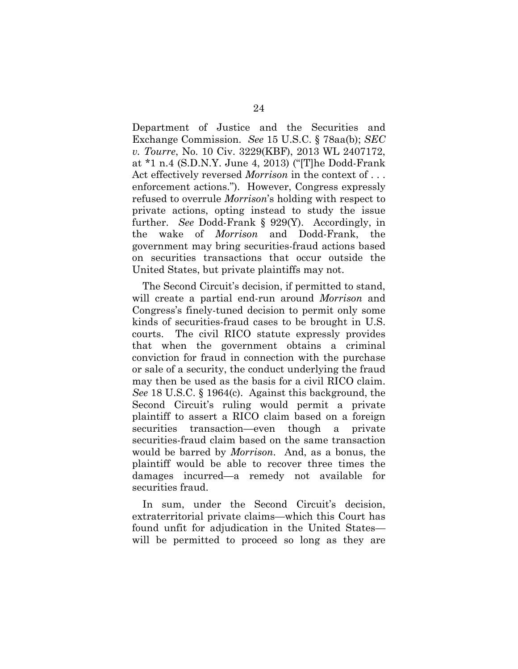Department of Justice and the Securities and Exchange Commission. *See* 15 U.S.C. § 78aa(b); *SEC v. Tourre*, No. 10 Civ. 3229(KBF), 2013 WL 2407172, at \*1 n.4 (S.D.N.Y. June 4, 2013) ("[T]he Dodd-Frank Act effectively reversed *Morrison* in the context of . . . enforcement actions."). However, Congress expressly refused to overrule *Morrison*'s holding with respect to private actions, opting instead to study the issue further. *See* Dodd-Frank § 929(Y). Accordingly, in the wake of *Morrison* and Dodd-Frank, the government may bring securities-fraud actions based on securities transactions that occur outside the United States, but private plaintiffs may not.

The Second Circuit's decision, if permitted to stand, will create a partial end-run around *Morrison* and Congress's finely-tuned decision to permit only some kinds of securities-fraud cases to be brought in U.S. courts. The civil RICO statute expressly provides that when the government obtains a criminal conviction for fraud in connection with the purchase or sale of a security, the conduct underlying the fraud may then be used as the basis for a civil RICO claim. *See* 18 U.S.C. § 1964(c). Against this background, the Second Circuit's ruling would permit a private plaintiff to assert a RICO claim based on a foreign securities transaction—even though a private securities-fraud claim based on the same transaction would be barred by *Morrison*. And, as a bonus, the plaintiff would be able to recover three times the damages incurred—a remedy not available for securities fraud.

In sum, under the Second Circuit's decision, extraterritorial private claims—which this Court has found unfit for adjudication in the United States will be permitted to proceed so long as they are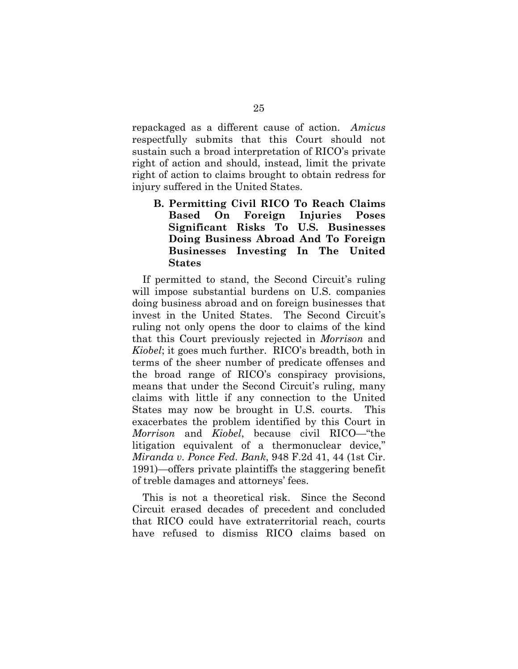repackaged as a different cause of action. *Amicus* respectfully submits that this Court should not sustain such a broad interpretation of RICO's private right of action and should, instead, limit the private right of action to claims brought to obtain redress for injury suffered in the United States.

**B. Permitting Civil RICO To Reach Claims Based On Foreign Injuries Poses Significant Risks To U.S. Businesses Doing Business Abroad And To Foreign Businesses Investing In The United States** 

If permitted to stand, the Second Circuit's ruling will impose substantial burdens on U.S. companies doing business abroad and on foreign businesses that invest in the United States. The Second Circuit's ruling not only opens the door to claims of the kind that this Court previously rejected in *Morrison* and *Kiobel*; it goes much further. RICO's breadth, both in terms of the sheer number of predicate offenses and the broad range of RICO's conspiracy provisions, means that under the Second Circuit's ruling, many claims with little if any connection to the United States may now be brought in U.S. courts. This exacerbates the problem identified by this Court in *Morrison* and *Kiobel*, because civil RICO—"the litigation equivalent of a thermonuclear device," *Miranda v. Ponce Fed. Bank*, 948 F.2d 41, 44 (1st Cir. 1991)—offers private plaintiffs the staggering benefit of treble damages and attorneys' fees.

This is not a theoretical risk. Since the Second Circuit erased decades of precedent and concluded that RICO could have extraterritorial reach, courts have refused to dismiss RICO claims based on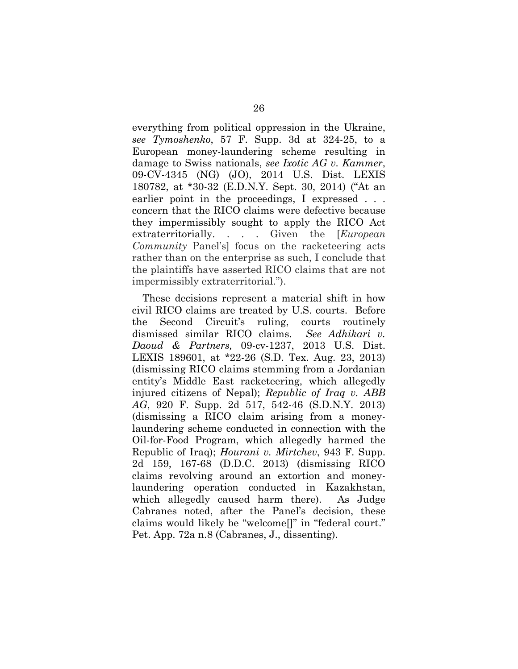everything from political oppression in the Ukraine, *see Tymoshenko*, 57 F. Supp. 3d at 324-25, to a European money-laundering scheme resulting in damage to Swiss nationals, *see Ixotic AG v. Kammer*, 09-CV-4345 (NG) (JO), 2014 U.S. Dist. LEXIS 180782, at \*30-32 (E.D.N.Y. Sept. 30, 2014) ("At an earlier point in the proceedings, I expressed . . . concern that the RICO claims were defective because they impermissibly sought to apply the RICO Act extraterritorially. . . . Given the [*European Community* Panel's] focus on the racketeering acts rather than on the enterprise as such, I conclude that the plaintiffs have asserted RICO claims that are not impermissibly extraterritorial.").

These decisions represent a material shift in how civil RICO claims are treated by U.S. courts. Before the Second Circuit's ruling, courts routinely dismissed similar RICO claims. *See Adhikari v. Daoud & Partners,* 09-cv-1237, 2013 U.S. Dist. LEXIS 189601, at \*22-26 (S.D. Tex. Aug. 23, 2013) (dismissing RICO claims stemming from a Jordanian entity's Middle East racketeering, which allegedly injured citizens of Nepal); *Republic of Iraq v. ABB AG*, 920 F. Supp. 2d 517, 542-46 (S.D.N.Y. 2013) (dismissing a RICO claim arising from a moneylaundering scheme conducted in connection with the Oil-for-Food Program, which allegedly harmed the Republic of Iraq); *Hourani v. Mirtchev*, 943 F. Supp. 2d 159, 167-68 (D.D.C. 2013) (dismissing RICO claims revolving around an extortion and moneylaundering operation conducted in Kazakhstan, which allegedly caused harm there). As Judge Cabranes noted, after the Panel's decision, these claims would likely be "welcome[]" in "federal court." Pet. App. 72a n.8 (Cabranes, J., dissenting).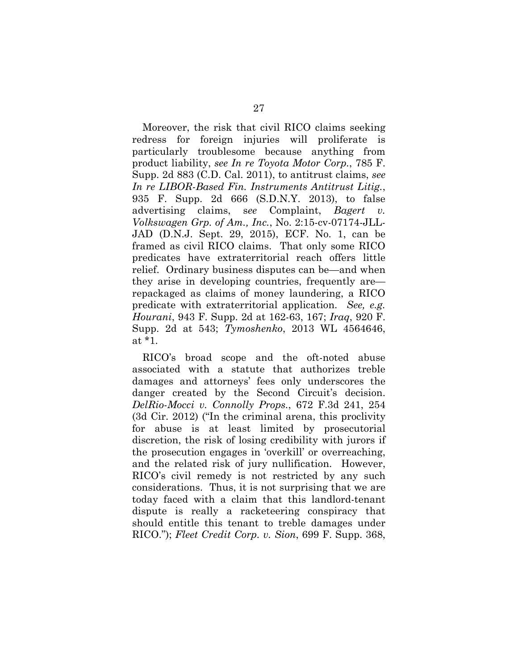Moreover, the risk that civil RICO claims seeking redress for foreign injuries will proliferate is particularly troublesome because anything from product liability, *see In re Toyota Motor Corp.*, 785 F. Supp. 2d 883 (C.D. Cal. 2011), to antitrust claims, *see In re LIBOR-Based Fin. Instruments Antitrust Litig.*, 935 F. Supp. 2d 666 (S.D.N.Y. 2013), to false advertising claims, s*ee* Complaint, *Bagert v. Volkswagen Grp. of Am., Inc.*, No. 2:15-cv-07174-JLL-JAD (D.N.J. Sept. 29, 2015), ECF. No. 1, can be framed as civil RICO claims. That only some RICO predicates have extraterritorial reach offers little relief. Ordinary business disputes can be—and when they arise in developing countries, frequently are repackaged as claims of money laundering, a RICO predicate with extraterritorial application. *See, e.g. Hourani*, 943 F. Supp. 2d at 162-63, 167; *Iraq*, 920 F. Supp. 2d at 543; *Tymoshenko*, 2013 WL 4564646, at \*1.

RICO's broad scope and the oft-noted abuse associated with a statute that authorizes treble damages and attorneys' fees only underscores the danger created by the Second Circuit's decision. *DelRio-Mocci v. Connolly Props.*, 672 F.3d 241, 254 (3d Cir. 2012) ("In the criminal arena, this proclivity for abuse is at least limited by prosecutorial discretion, the risk of losing credibility with jurors if the prosecution engages in 'overkill' or overreaching, and the related risk of jury nullification. However, RICO's civil remedy is not restricted by any such considerations. Thus, it is not surprising that we are today faced with a claim that this landlord-tenant dispute is really a racketeering conspiracy that should entitle this tenant to treble damages under RICO."); *Fleet Credit Corp. v. Sion*, 699 F. Supp. 368,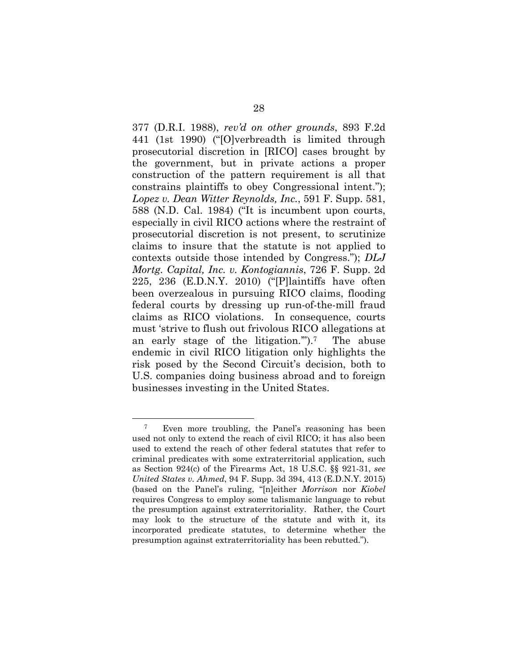377 (D.R.I. 1988), *rev'd on other grounds*, 893 F.2d 441 (1st 1990) ("[O]verbreadth is limited through prosecutorial discretion in [RICO] cases brought by the government, but in private actions a proper construction of the pattern requirement is all that constrains plaintiffs to obey Congressional intent."); *Lopez v. Dean Witter Reynolds, Inc.*, 591 F. Supp. 581, 588 (N.D. Cal. 1984) ("It is incumbent upon courts, especially in civil RICO actions where the restraint of prosecutorial discretion is not present, to scrutinize claims to insure that the statute is not applied to contexts outside those intended by Congress."); *DLJ Mortg. Capital, Inc. v. Kontogiannis*, 726 F. Supp. 2d 225, 236 (E.D.N.Y. 2010) ("[P]laintiffs have often been overzealous in pursuing RICO claims, flooding federal courts by dressing up run-of-the-mill fraud claims as RICO violations. In consequence, courts must 'strive to flush out frivolous RICO allegations at an early stage of the litigation.'").7 The abuse endemic in civil RICO litigation only highlights the risk posed by the Second Circuit's decision, both to U.S. companies doing business abroad and to foreign businesses investing in the United States.

<sup>7</sup> Even more troubling, the Panel's reasoning has been used not only to extend the reach of civil RICO; it has also been used to extend the reach of other federal statutes that refer to criminal predicates with some extraterritorial application, such as Section 924(c) of the Firearms Act, 18 U.S.C. §§ 921-31, *see United States v. Ahmed*, 94 F. Supp. 3d 394, 413 (E.D.N.Y. 2015) (based on the Panel's ruling, "[n]either *Morrison* nor *Kiobel* requires Congress to employ some talismanic language to rebut the presumption against extraterritoriality. Rather, the Court may look to the structure of the statute and with it, its incorporated predicate statutes, to determine whether the presumption against extraterritoriality has been rebutted.").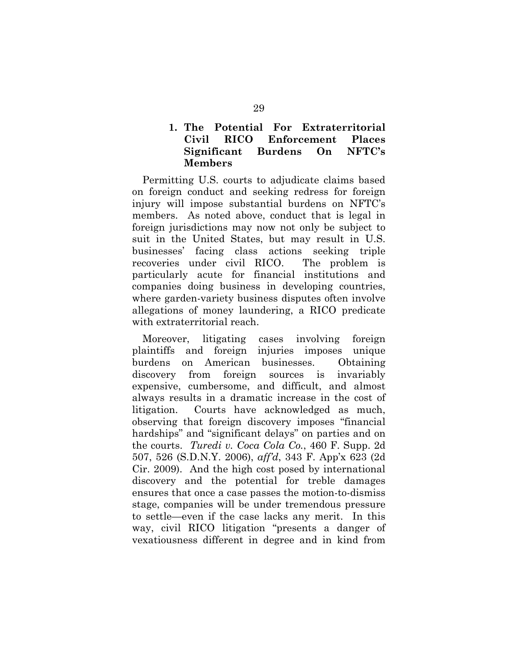## **1. The Potential For Extraterritorial Civil RICO Enforcement Places Significant Burdens On NFTC's Members**

Permitting U.S. courts to adjudicate claims based on foreign conduct and seeking redress for foreign injury will impose substantial burdens on NFTC's members. As noted above, conduct that is legal in foreign jurisdictions may now not only be subject to suit in the United States, but may result in U.S. businesses' facing class actions seeking triple recoveries under civil RICO. The problem is particularly acute for financial institutions and companies doing business in developing countries, where garden-variety business disputes often involve allegations of money laundering, a RICO predicate with extraterritorial reach.

Moreover, litigating cases involving foreign plaintiffs and foreign injuries imposes unique burdens on American businesses. Obtaining discovery from foreign sources is invariably expensive, cumbersome, and difficult, and almost always results in a dramatic increase in the cost of litigation. Courts have acknowledged as much, observing that foreign discovery imposes "financial hardships" and "significant delays" on parties and on the courts. *Turedi v. Coca Cola Co.*, 460 F. Supp. 2d 507, 526 (S.D.N.Y. 2006), *aff'd*, 343 F. App'x 623 (2d Cir. 2009). And the high cost posed by international discovery and the potential for treble damages ensures that once a case passes the motion-to-dismiss stage, companies will be under tremendous pressure to settle—even if the case lacks any merit. In this way, civil RICO litigation "presents a danger of vexatiousness different in degree and in kind from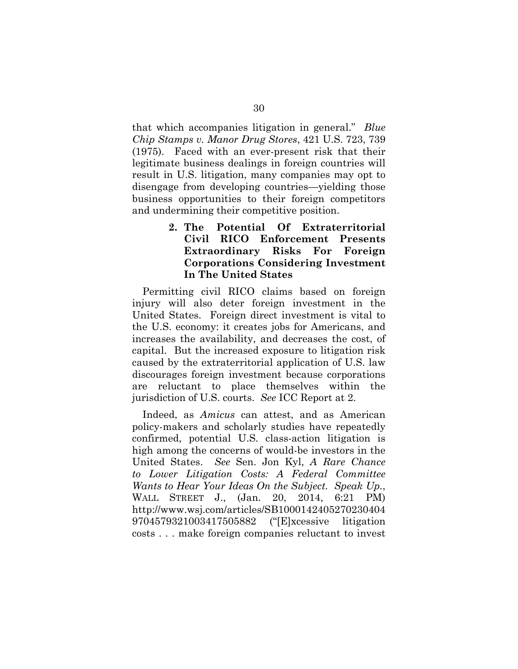that which accompanies litigation in general." *Blue Chip Stamps v. Manor Drug Stores*, 421 U.S. 723, 739 (1975). Faced with an ever-present risk that their legitimate business dealings in foreign countries will result in U.S. litigation, many companies may opt to disengage from developing countries—yielding those business opportunities to their foreign competitors and undermining their competitive position.

> **2. The Potential Of Extraterritorial Civil RICO Enforcement Presents Extraordinary Risks For Foreign Corporations Considering Investment In The United States**

Permitting civil RICO claims based on foreign injury will also deter foreign investment in the United States. Foreign direct investment is vital to the U.S. economy: it creates jobs for Americans, and increases the availability, and decreases the cost, of capital. But the increased exposure to litigation risk caused by the extraterritorial application of U.S. law discourages foreign investment because corporations are reluctant to place themselves within the jurisdiction of U.S. courts. *See* ICC Report at 2.

Indeed, as *Amicus* can attest, and as American policy-makers and scholarly studies have repeatedly confirmed, potential U.S. class-action litigation is high among the concerns of would-be investors in the United States. *See* Sen. Jon Kyl, *A Rare Chance to Lower Litigation Costs: A Federal Committee Wants to Hear Your Ideas On the Subject. Speak Up.*, WALL STREET J., (Jan. 20, 2014, 6:21 PM) http://www.wsj.com/articles/SB1000142405270230404 9704579321003417505882 ("[E]xcessive litigation costs . . . make foreign companies reluctant to invest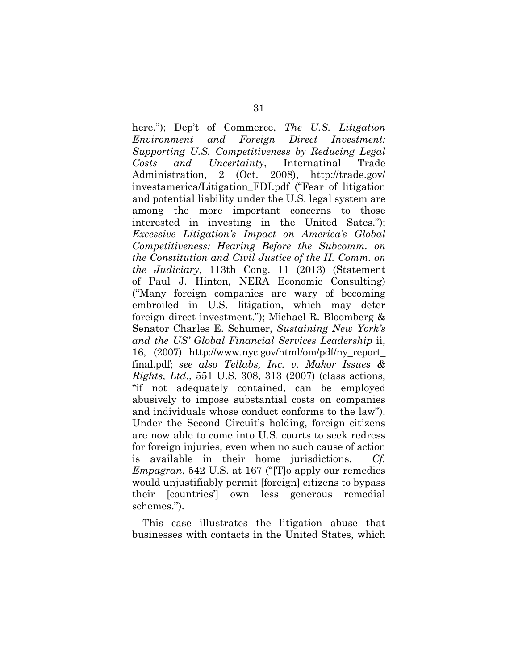here."); Dep't of Commerce, *The U.S. Litigation Environment and Foreign Direct Investment: Supporting U.S. Competitiveness by Reducing Legal Costs and Uncertainty*, Internatinal Trade Administration, 2 (Oct. 2008), http://trade.gov/ investamerica/Litigation\_FDI.pdf ("Fear of litigation and potential liability under the U.S. legal system are among the more important concerns to those interested in investing in the United Sates."); *Excessive Litigation's Impact on America's Global Competitiveness: Hearing Before the Subcomm. on the Constitution and Civil Justice of the H. Comm. on the Judiciary*, 113th Cong. 11 (2013) (Statement of Paul J. Hinton, NERA Economic Consulting) ("Many foreign companies are wary of becoming embroiled in U.S. litigation, which may deter foreign direct investment."); Michael R. Bloomberg & Senator Charles E. Schumer, *Sustaining New York's and the US' Global Financial Services Leadership* ii, 16, (2007) http://www.nyc.gov/html/om/pdf/ny\_report\_ final.pdf; *see also Tellabs, Inc. v. Makor Issues & Rights, Ltd.*, 551 U.S. 308, 313 (2007) (class actions, "if not adequately contained, can be employed abusively to impose substantial costs on companies and individuals whose conduct conforms to the law"). Under the Second Circuit's holding, foreign citizens are now able to come into U.S. courts to seek redress for foreign injuries, even when no such cause of action is available in their home jurisdictions. *Cf. Empagran*, 542 U.S. at 167 ("[T]o apply our remedies would unjustifiably permit [foreign] citizens to bypass their [countries'] own less generous remedial schemes.").

This case illustrates the litigation abuse that businesses with contacts in the United States, which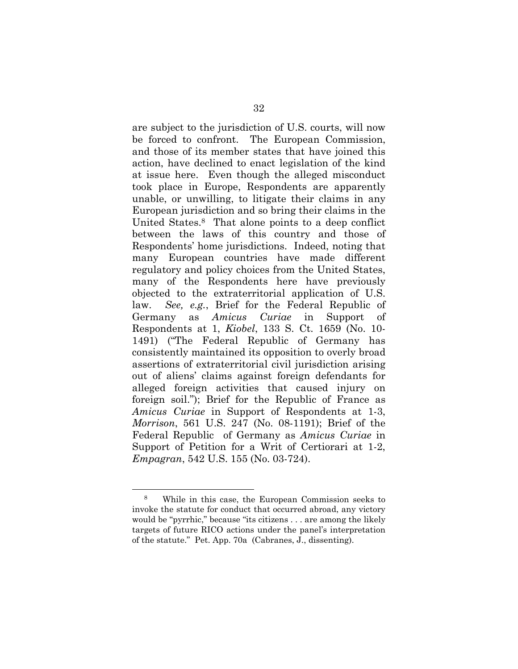are subject to the jurisdiction of U.S. courts, will now be forced to confront. The European Commission, and those of its member states that have joined this action, have declined to enact legislation of the kind at issue here. Even though the alleged misconduct took place in Europe, Respondents are apparently unable, or unwilling, to litigate their claims in any European jurisdiction and so bring their claims in the United States.8 That alone points to a deep conflict between the laws of this country and those of Respondents' home jurisdictions. Indeed, noting that many European countries have made different regulatory and policy choices from the United States, many of the Respondents here have previously objected to the extraterritorial application of U.S. law. *See, e.g.*, Brief for the Federal Republic of Germany as *Amicus Curiae* in Support of Respondents at 1, *Kiobel*, 133 S. Ct. 1659 (No. 10- 1491) ("The Federal Republic of Germany has consistently maintained its opposition to overly broad assertions of extraterritorial civil jurisdiction arising out of aliens' claims against foreign defendants for alleged foreign activities that caused injury on foreign soil."); Brief for the Republic of France as *Amicus Curiae* in Support of Respondents at 1-3, *Morrison*, 561 U.S. 247 (No. 08-1191); Brief of the Federal Republic of Germany as *Amicus Curiae* in Support of Petition for a Writ of Certiorari at 1-2, *Empagran*, 542 U.S. 155 (No. 03-724).

<sup>8</sup> While in this case, the European Commission seeks to invoke the statute for conduct that occurred abroad, any victory would be "pyrrhic," because "its citizens . . . are among the likely targets of future RICO actions under the panel's interpretation of the statute." Pet. App. 70a (Cabranes, J., dissenting).